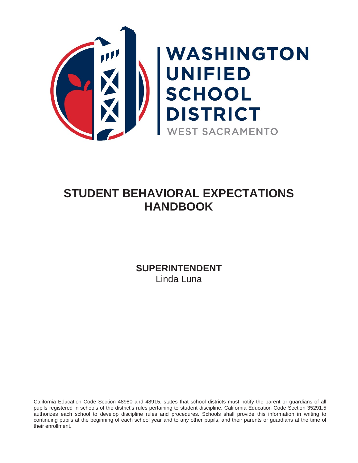

# **STUDENT BEHAVIORAL EXPECTATIONS HANDBOOK**

**SUPERINTENDENT** Linda Luna

California Education Code Section 48980 and 48915, states that school districts must notify the parent or guardians of all pupils registered in schools of the district's rules pertaining to student discipline. California Education Code Section 35291.5 authorizes each school to develop discipline rules and procedures. Schools shall provide this information in writing to continuing pupils at the beginning of each school year and to any other pupils, and their parents or guardians at the time of their enrollment.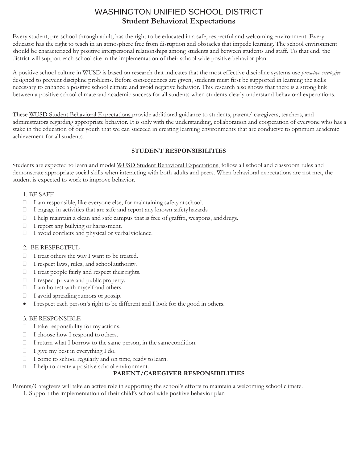## WASHINGTON UNIFIED SCHOOL DISTRICT **Student Behavioral Expectations**

Every student, pre-school through adult, has the right to be educated in a safe, respectful and welcoming environment. Every educator has the right to teach in an atmosphere free from disruption and obstacles that impede learning. The school environment should be characterized by positive interpersonal relationships among students and between students and staff. To that end, the district will support each school site in the implementation of their school wide positive behavior plan.

A positive school culture in WUSD is based on research that indicates that the most effective discipline systems use *proactive strategies* designed to prevent discipline problems. Before consequences are given, students must first be supported in learning the skills necessary to enhance a positive school climate and avoid negative behavior. This research also shows that there is a strong link between a positive school climate and academic success for all students when students clearly understand behavioral expectations.

These WUSD Student Behavioral Expectations provide additional guidance to students, parent/ caregivers, teachers, and administrators regarding appropriate behavior. It is only with the understanding, collaboration and cooperation of everyone who has a stake in the education of our youth that we can succeed in creating learning environments that are conducive to optimum academic achievement for all students.

### **STUDENT RESPONSIBILITIES**

Students are expected to learn and model WUSD Student Behavioral Expectations, follow all school and classroom rules and demonstrate appropriate social skills when interacting with both adults and peers. When behavioral expectations are not met, the student is expected to work to improve behavior.

### 1. BE SAFE

- I am responsible, like everyone else, for maintaining safety atschool.
- I engage in activities that are safe and report any known safetyhazards
- $\Box$  I help maintain a clean and safe campus that is free of graffiti, weapons, and drugs.
- $\Box$  I report any bullying or harassment.
- I avoid conflicts and physical or verbal violence.

### 2. BE RESPECTFUL

- $\Box$  I treat others the way I want to be treated.
- $\Box$  I respect laws, rules, and school authority.
- $\Box$  I treat people fairly and respect their rights.
- I respect private and public property.
- I am honest with myself and others.
- I avoid spreading rumors or gossip.
- I respect each person's right to be different and I look for the good in others.

### 3. BE RESPONSIBLE

- $\Box$  I take responsibility for my actions.
- I choose how I respond to others.
- $\Box$  I return what I borrow to the same person, in the same condition.
- $\Box$  I give my best in everything I do.
- I come to school regularly and on time, ready to learn.
- I help to create a positive school environment.

### **PARENT/CAREGIVER RESPONSIBILITIES**

Parents/Caregivers will take an active role in supporting the school's efforts to maintain a welcoming school climate. 1. Support the implementation of their child's school wide positive behavior plan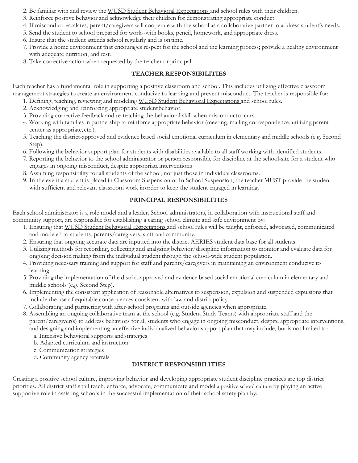- 2. Be familiar with and review the WUSD Student Behavioral Expectations and school rules with their children.
- 3. Reinforce positive behavior and acknowledge their children for demonstrating appropriate conduct.
- 4. If misconduct escalates, parent/caregivers will cooperate with the school as a collaborative partner to address student's needs.
- 5. Send the student to school prepared for work--with books, pencil, homework, and appropriate dress.
- 6. Insure that the student attends school regularly and is ontime.
- 7. Provide a home environment that encourages respect for the school and the learning process; provide a healthy environment with adequate nutrition, and rest.
- 8. Take corrective action when requested by the teacher orprincipal.

### **TEACHER RESPONSIBILITIES**

Each teacher has a fundamental role in supporting a positive classroom and school. This includes utilizing effective classroom management strategies to create an environment conducive to learning and prevent misconduct. The teacher is responsible for:

- 1. Defining, teaching, reviewing and modeling WUSD Student Behavioral Expectations and school rules.
- 2. Acknowledging and reinforcing appropriate studentbehavior.
- 3. Providing corrective feedback and re-teaching the behavioral skill when misconductoccurs.
- 4. Working with families in partnership to reinforce appropriate behavior (meeting, mailing correspondence, utilizing parent center as appropriate, etc.).
- 5. Teaching the district-approved and evidence based social emotional curriculum in elementary and middle schools (e.g. Second Step).
- 6. Following the behavior support plan for students with disabilities available to all staff working with identified students.
- 7. Reporting the behavior to the school administrator or person responsible for discipline at the school-site for a student who engages in ongoing misconduct, despite appropriate interventions
- 8. Assuming responsibility for all students of the school, not just those in individual classrooms.
- 9. In the event a student is placed in Classroom Suspension or In School Suspension, the teacher MUST provide the student with sufficient and relevant classroom work inorder to keep the student engaged in learning.

### **PRINCIPAL RESPONSIBILITIES**

Each school administrator is a role model and a leader. School administrators, in collaboration with instructional staff and community support, are responsible for establishing a caring school climate and safe environment by:

- 1. Ensuring that WUSD Student Behavioral Expectations and school rules will be taught, enforced, advocated, communicated and modeled to students, parents/caregivers, staff and community.
- 2. Ensuring that ongoing accurate data are inputted into the district AERIES student data base for all students.
- 3. Utilizing methods for recording, collecting and analyzing behavior/discipline information to monitor and evaluate data for ongoing decision making from the individual student through the school-wide student population.
- 4. Providing necessary training and support for staff and parents/caregivers in maintaining an environment conducive to learning.
- 5. Providing the implementation of the district-approved and evidence based social emotional curriculum in elementary and middle schools (e.g. Second Step).
- 6. Implementing the consistent application of reasonable alternatives to suspension, expulsion and suspended expulsions that include the use of equitable consequences consistent with law and district policy.
- 7. Collaborating and partnering with after-school programs and outside agencies when appropriate.
- 8. Assembling an ongoing collaborative team at the school (e.g. Student Study Teams) with appropriate staff and the parent/caregiver(s) to address behaviors for all students who engage in ongoing misconduct, despite appropriate interventions, and designing and implementing an effective individualized behavior support plan that may include, but is not limited to:
	- a. Intensive behavioral supports andstrategies
	- b. Adapted curriculum and instruction
	- c. Communication strategies
	- d. Community agency referrals

### **DISTRICT RESPONSIBILITIES**

Creating a positive school culture, improving behavior and developing appropriate student discipline practices are top district priorities. All district staff shall teach, enforce, advocate, communicate and model a positive school culture by playing an active supportive role in assisting schools in the successful implementation of their school safety plan by: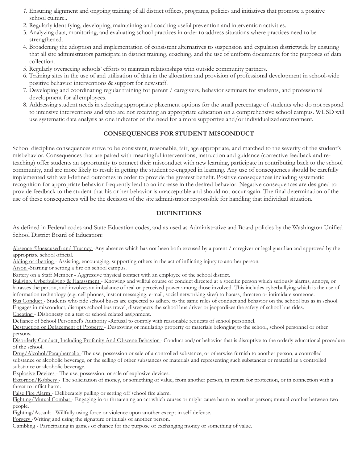- *1.* Ensuring alignment and ongoing training of all district offices, programs, policies and initiatives that promote a positive school culture*..*
- 2. Regularly identifying, developing, maintaining and coaching useful prevention and intervention activities.
- 3. Analyzing data, monitoring, and evaluating school practices in order to address situations where practices need to be strengthened.
- 4. Broadening the adoption and implementation of consistent alternatives to suspension and expulsion districtwide by ensuring that all site administrators participate in district training, coaching, and the use of uniform documents for the purposes of data collection.
- 5. Regularly overseeing schools' efforts to maintain relationships with outside community partners.
- 6. Training sites in the use of and utilization of data in the allocation and provision of professional development in school-wide positive behavior interventions & support for newstaff.
- 7. Developing and coordinating regular training for parent / caregivers, behavior seminars for students, and professional development for all employees.
- 8. Addressing student needs in selecting appropriate placement options for the small percentage of students who do not respond to intensive interventions and who are not receiving an appropriate education on a comprehensive school campus. WUSD will use systematic data analysis as one indicator of the need for a more supportive and/or individualizedenvironment.

### **CONSEQUENCES FOR STUDENT MISCONDUCT**

School discipline consequences strive to be consistent, reasonable, fair, age appropriate, and matched to the severity of the student's misbehavior. Consequences that are paired with meaningful interventions, instruction and guidance (corrective feedback and reteaching) offer students an opportunity to connect their misconduct with new learning, participate in contributing back to the school community, and are more likely to result in getting the student re-engaged in learning. Any use of consequences should be carefully implemented with well-defined outcomes in order to provide the greatest benefit. Positive consequences including systematic recognition for appropriate behavior frequently lead to an increase in the desired behavior. Negative consequences are designed to provide feedback to the student that his or her behavior is unacceptable and should not occur again. The final determination of the use of these consequences will be the decision of the site administrator responsible for handling that individual situation.

#### **DEFINITIONS**

As defined in Federal codes and State Education codes, and as used as Administrative and Board policies by the Washington Unified School District Board of Education:

Absence (Unexcused) and Truancy -Any absence which has not been both excused by a parent / caregiver or legal guardian and approved by the appropriate school official.

Aiding or abetting - Assisting, encouraging, supporting others in the act of inflicting injury to another person.

Arson -Starting or setting a fire on school campus.

Battery on a Staff Member - Aggressive physical contact with an employee of the school district.

Bullying, Cyberbullying & Harassment - Knowing and willful course of conduct directed at a specific person which seriously alarms, annoys, or harasses the person, and involves an imbalance of real or perceived power among those involved. This includes cyberbullying which is the use of information technology (e.g. cell phones, instant messaging, e-mail, social networking sites) to harass, threaten or intimidate someone.

Bus Conduct - Students who ride school buses are expected to adhere to the same rules of conduct and behavior on the school bus as in school. Engages in misconduct, disrupts school bus travel, disrespects the school bus driver or jeopardizes the safety of school bus rides.

Cheating - Dishonesty on a test or school related assignment.

Defiance of School Personnel's Authority -Refusal to comply with reasonable requests of school personnel.

Destruction or Defacement of Property - Destroying or mutilating property or materials belonging to the school, school personnel or other persons.

Disorderly Conduct, Including Profanity And Obscene Behavior - Conduct and/or behavior that is disruptive to the orderly educational procedure of the school.

Drug/Alcohol/Paraphernalia -The use, possession or sale of a controlled substance, or otherwise furnish to another person, a controlled substance or alcoholic beverage, or the selling of other substances or materials and representing such substances or material as a controlled substance or alcoholic beverage.

Explosive Devices - The use, possession, or sale of explosive devices.

Extortion/Robbery - The solicitation of money, or something of value, from another person, in return for protection, or in connection with a threat to inflict harm.

False Fire Alarm - Deliberately pulling or setting off school fire alarm.

Fighting/Mutual Combat - Engaging in or threatening an act which causes or might cause harm to another person; mutual combat between two people.

Fighting/Assault - Willfully using force or violence upon another except in self-defense.

Forgery -Writing and using the signature or initials of another person.

Gambling - Participating in games of chance for the purpose of exchanging money or something of value.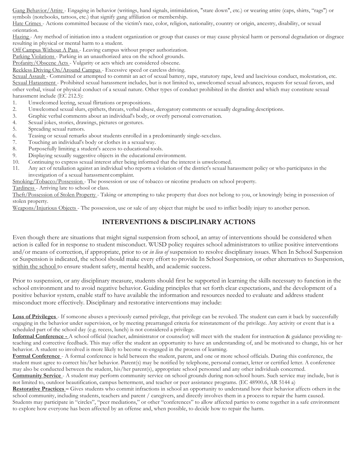Gang Behavior/Attire - Engaging in behavior (writings, hand signals, intimidation, "stare down", etc.) or wearing attire (caps, shirts, "rags") or symbols (notebooks, tattoos, etc.) that signify gang affiliation or membership.

Hate Crimes - Actions committed because of the victim's race, color, religion, nationality, country or origin, ancestry, disability, or sexual orientation.

Hazing - Any method of initiation into a student organization or group that causes or may cause physical harm or personal degradation or disgrace resulting in physical or mental harm to a student.

Off Campus Without A Pass - Leaving campus without proper authorization.

Parking Violations - Parking in an unauthorized area on the school grounds.

Profanity/Obscene Acts - Vulgarity or acts which are considered obscene.

Reckless Driving On/Around Campus - Excessive speed or careless driving.

Sexual Assault - Committed or attempted to commit an act of sexual battery, rape, statutory rape, lewd and lascivious conduct, molestation, etc. Sexual Harassment - Prohibited sexual harassment includes, but is not limited to, unwelcomed sexual advances, requests for sexual favors, and other verbal, visual or physical conduct of a sexual nature. Other types of conduct prohibited in the district and which may constitute sexual harassment include (EC 212.5):

- 1. Unwelcomed leering, sexual flirtations or propositions.
- 2. Unwelcomed sexual slurs, epithets, threats, verbal abuse, derogatory comments or sexually degrading descriptions.
- 3. Graphic verbal comments about an individual's body, or overly personal conversation.
- 4. Sexual jokes, stories, drawings, pictures or gestures.
- 5. Spreading sexual rumors.
- 6. Teasing or sexual remarks about students enrolled in a predominantly single-sexclass.
- 7. Touching an individual's body or clothes in a sexualway.
- 8. Purposefully limiting a student's access to educational tools.
- 9. Displaying sexually suggestive objects in the educational environment.
- 10. Continuing to express sexual interest after being informed that the interest is unwelcomed.
- 11. Any act of retaliation against an individual who reports a violation of the district's sexual harassment policy or who participates in the investigation of a sexual harassment complaint.

Smoking/Tobacco/Possession - The possession or use of tobacco or nicotine products on school property.

Tardiness - Arriving late to school or class.

Theft/Possession of Stolen Property - Taking or attempting to take property that does not belong to you, or knowingly being in possession of stolen property.

Weapons/Injurious Objects - The possession, use or sale of any object that might be used to inflict bodily injury to another person.

### **INTERVENTIONS & DISCIPLINARY ACTIONS**

Even though there are situations that might signal suspension from school, an array of interventions should be considered when action is called for in response to student misconduct. WUSD policy requires school administrators to utilize positive interventions and/or means of correction, if appropriate, prior to or *in lieu of* suspension to resolve disciplinary issues. When In School Suspension or Suspension is indicated, the school should make every effort to provide In School Suspension, or other alternatives to Suspension, within the school to ensure student safety, mental health, and academic success.

Prior to suspension, or any disciplinary measure, students should first be supported in learning the skills necessary to function in the school environment and to avoid negative behavior. Guiding principles that set forth clear expectations, and the development of a positive behavior system, enable staff to have available the information and resources needed to evaluate and address student misconduct more effectively. Disciplinary and restorative interventions may include:

**Loss of Privileges** - If someone abuses a previously earned privilege, that privilege can be revoked. The student can earn it back by successfully engaging in the behavior under supervision, or by meeting prearranged criteria for reinstatement of the privilege. Any activity or event that is a scheduled part of the school day (e.g. recess, lunch) is not considered a privilege.

**Informal Conference -** A school official (teacher, administrator or counselor) will meet with the student for instruction & guidance providing reteaching and corrective feedback. This may offer the student an opportunity to have an understanding of, and be motivated to change, his or her behavior. A student so involved is more likely to become re-engaged in the process of learning.

**Formal Conference** - A formal conference is held between the student, parent, and one or more school officials. During this conference, the student must agree to correct his/her behavior. Parent(s) may be notified by telephone, personal contact, letter or certified letter. A conference may also be conducted between the student, his/her parent(s), appropriate school personnel and any other individuals concerned.

**Community Service** - A student may perform community service on school grounds during non-school hours. Such service may include, but is not limited to, outdoor beautification, campus betterment, and teacher or peer assistance programs. (EC 48900.6, AR 5144 a)

**Restorative Practices –** Gives students who commit infractions in school an opportunity to understand how their behavior affects others in the school community, including students, teachers and parent / caregivers, and directly involves them in a process to repair the harm caused.

Students may participate in "circles", "peer mediations," or other "conferences" to allow affected parties to come together in a safe environment to explore how everyone has been affected by an offense and, when possible, to decide how to repair the harm.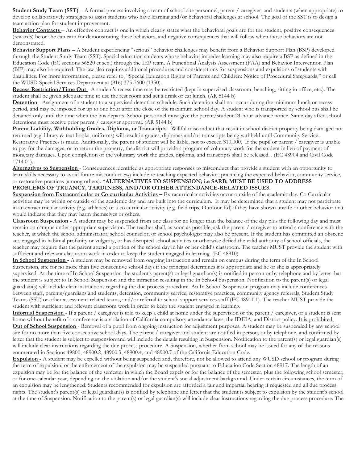**Student Study Team (SST)** – A formal process involving a team of school site personnel, parent / caregiver, and students (when appropriate) to develop collaboratively strategies to assist students who have learning and/or behavioral challenges at school. The goal of the SST is to design a team action plan for student improvement.

**Behavior Contracts** – An effective contract is one in which clearly states what the behavioral goals are for the student, positive consequences (rewards) he or she can earn for demonstrating these behaviors, and negative consequences that will follow when those behaviors are not demonstrated.

**Behavior Support Plans** – A Student experiencing "serious" behavior challenges may benefit from a Behavior Support Plan (BSP) developed through the Student Study Team (SST). Special education students whose behavior impedes learning may also require a BSP as defined in the Education Code (EC sections 56520 et seq.) through the IEP team. A Functional Analysis Assessment (FAA) and Behavior Intervention Plan (BIP) may also be required. The law also requires additional procedures and considerations for suspensions and expulsions of students with disabilities. For more information, please refer to, "Special Education Rights of Parents and Children: Notice of Procedural Safeguards," or call the WUSD Special Services Department at (916) 375-7600 (1350).

**Recess Restriction/Time Out** - A student's recess time may be restricted (kept in supervised classroom, benching, sitting in office, etc.). The student shall be given adequate time to use the rest room and get a drink or eat lunch. (AR 5144 b)

**Detention** - Assignment of a student to a supervised detention schedule. Such detention shall not occur during the minimum lunch or recess period, and may be imposed for up to one hour after the close of the maximum school day. A student who is transported by school bus shall be detained only until the time when the bus departs. School personnel must give the parent/student 24-hour advance notice. Same-day after-school detentions must receive prior parent / caregiver approval. (AR 5144 b)

Parent Liability, Withholding Grades, Diploma, or Transcripts - Willful misconduct that result in school district property being damaged not returned (e.g. library & text books, uniforms) will result in grades, diplomas and/or transcripts being withheld until Community Service, Restorative Practices is made. Additionally, the parent of student will be liable, not to exceed \$10,000. If the pupil or parent / caregiver is unable to pay for the damages, or to return the property, the district will provide a program of voluntary work for the student in lieu of payment of monetary damages. Upon completion of the voluntary work the grades, diploma, and transcripts shall be released. . (EC 48904 and Civil Code 1714.01).

**Alternatives to Suspension** - Consequences identified as appropriate responses to misconduct that provide a student with an opportunity to learn skills necessary to avoid future misconduct *may* include re-teaching expected behavior, practicing the expected behavior, community service, or restorative practices (among others). **\*ALTERNATIVES TO SUSPENSION; i.e SARB; MUST BE USED TO ADDRESS PROBLEMS OF TRUANCY, TARDINESS, AND/OR OTHER ATTENDANCE-RELATED ISSUES.**

**Suspension from Extracurricular or Co curricular Activities –** Extracurricular activities occur outside of the academic day. Co Curricular activities may be within or outside of the academic day and are built into the curriculum. It may be determined that a student may not participate in an extracurricular activity (e.g. athletics) or a co curricular activity (e.g. field trips, Outdoor Ed) if they have shown unsafe or other behavior that would indicate that they may harm themselves or others.

**Classroom Suspension -** A student may be suspended from one class for no longer than the balance of the day plus the following day and must remain on campus under appropriate supervision. The teacher shall, as soon as possible, ask the parent / caregiver to attend a conference with the teacher, at which the school administrator, school counselor, or school psychologist may also be present. If the student has committed an obscene act, engaged in habitual profanity or vulgarity, or has disrupted school activities or otherwise defied the valid authority of school officials, the teacher may require that the parent attend a portion of the school day in his or her child's classroom. The teacher MUST provide the student with sufficient and relevant classroom work in order to keep the student engaged in learning. (EC 48910)

**In School Suspension -** A student may be removed from ongoing instruction and remain on campus during the term of the In School Suspension, site for no more than five consecutive school days if the principal determines it is appropriate and he or she is appropriately supervised. At the time of In School Suspension the student's parent(s) or legal guardian(s) is notified in person or by telephone and by letter that the student is subject to In School Suspension and the infraction resulting in the In School Suspension. Notification to the parent(s) or legal guardian(s) will include clear instructions regarding the due process procedure. An In School Suspension program may include conferences between staff, parents/guardians and students, detention, community service, restorative practices, community agency referrals, Student Study Teams (SST) or other assessment-related teams, and/or referral to school support services staff (EC 48911.1). The teacher MUST provide the student with sufficient and relevant classroom work in order to keep the student engaged in learning.

**Informal Suspension** - If a parent / caregiver is told to keep a child at home under the supervision of the parent / caregiver, or a student is sent home without benefit of a conference is a violation of California compulsory attendance laws, the IDEIA, and District policy. It is prohibited. **Out of School Suspension** - Removal of a pupil from ongoing instruction for adjustment purposes. A student may be suspended by any school site for no more than five consecutive school days. The parent / caregiver and student are notified in person, or by telephone, and confirmed by letter that the student is subject to suspension and will include the details resulting in Suspension. Notification to the parent(s) or legal guardian(s) will include clear instructions regarding the due process procedure. A Suspension, whether from school may be issued for any of the reasons enumerated in Sections 49800, 48900.2, 48900.3, 48900.4, and 48900.7 of the California Education Code.

**Expulsion -** A student may be expelled without being suspended and, therefore, not be allowed to attend any WUSD school or program during the term of expulsion; or the enforcement of the expulsion may be suspended pursuant to Education Code Section 48917. The length of an expulsion may be for the balance of the semester in which the Board expels or for the balance of the semester, plus the following school semester; or for one-calendar year, depending on the violation and/or the student's social adjustment background. Under certain circumstances, the term of an expulsion may be lengthened. Students recommended for expulsion are afforded a fair and impartial hearing if requested and all due process rights. The student's parent(s) or legal guardian(s) is notified by telephone and letter that the student is subject to expulsion by the student's school at the time of Suspension. Notification to the parent(s) or legal guardian(s) will include clear instructions regarding the due process procedure. The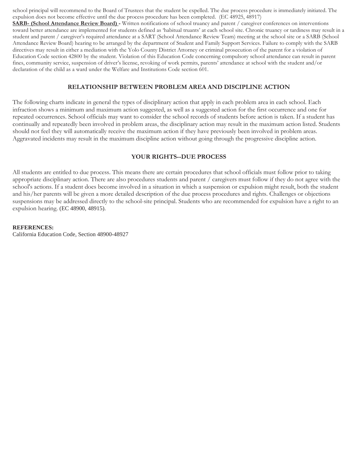school principal will recommend to the Board of Trustees that the student be expelled. The due process procedure is immediately initiated. The expulsion does not become effective until the due process procedure has been completed. (EC 48925, 48917)

**SARB- (School Attendance Review Board) -** Written notifications of school truancy and parent / caregiver conferences on interventions toward better attendance are implemented for students defined as 'habitual truants' at each school site. Chronic truancy or tardiness may result in a student and parent / caregiver's required attendance at a SART (School Attendance Review Team) meeting at the school site or a SARB (School Attendance Review Board) hearing to be arranged by the department of Student and Family Support Services. Failure to comply with the SARB directives may result in either a mediation with the Yolo County District Attorney or criminal prosecution of the parent for a violation of Education Code section 42800 by the student. Violation of this Education Code concerning compulsory school attendance can result in parent fines, community service, suspension of driver's license, revoking of work permits, parents' attendance at school with the student and/or declaration of the child as a ward under the Welfare and Institutions Code section 601.

#### **RELATIONSHIP BETWEEN PROBLEM AREA AND DISCIPLINE ACTION**

The following charts indicate in general the types of disciplinary action that apply in each problem area in each school. Each infraction shows a minimum and maximum action suggested, as well as a suggested action for the first occurrence and one for repeated occurrences. School officials may want to consider the school records of students before action is taken. If a student has continually and repeatedly been involved in problem areas, the disciplinary action may result in the maximum action listed. Students should not feel they will automatically receive the maximum action if they have previously been involved in problem areas. Aggravated incidents may result in the maximum discipline action without going through the progressive discipline action.

#### **YOUR RIGHTS--DUE PROCESS**

All students are entitled to due process. This means there are certain procedures that school officials must follow prior to taking appropriate disciplinary action. There are also procedures students and parent / caregivers must follow if they do not agree with the school's actions. If a student does become involved in a situation in which a suspension or expulsion might result, both the student and his/her parents will be given a more detailed description of the due process procedures and rights. Challenges or objections suspensions may be addressed directly to the school-site principal. Students who are recommended for expulsion have a right to an expulsion hearing. (EC 48900, 48915).

#### **REFERENCES:**

California Education Code, Section 48900-48927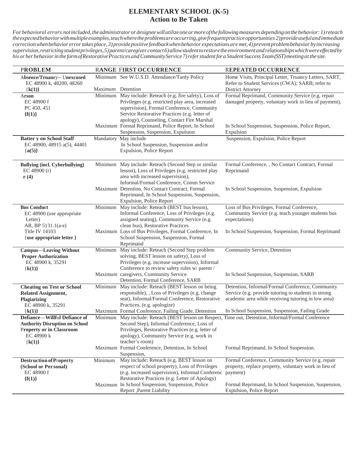### **ELEMENTARY SCHOOL (K-5) Action to Be Taken**

| <b>PROBLEM</b>                                                                                                                            |                   | RANGE FIRST OCCURRENCE                                                                                                                                                                                                                                    | REPEATED OCCURRENCE                                                                                                                                             |
|-------------------------------------------------------------------------------------------------------------------------------------------|-------------------|-----------------------------------------------------------------------------------------------------------------------------------------------------------------------------------------------------------------------------------------------------------|-----------------------------------------------------------------------------------------------------------------------------------------------------------------|
| Absence/Truancy-- Unexcused<br>EC 48900 k, 48200, 48260<br>${k(1)}$                                                                       | Maximum Detention | Minimum See W.U.S.D. Attendance/Tardy Policy                                                                                                                                                                                                              | Home Visits, Principal Letter, Truancy Letters, SART,<br>Refer to Student Services (CWA); SARB; refer to<br><b>District Attorney</b>                            |
| Arson<br>EC 48900 f<br>PC 450, 451<br>${f(1)}$                                                                                            |                   | Minimum May include: Reteach (e.g. fire safety), Loss of<br>Privileges (e.g. restricted play area, increased<br>supervision), Formal Conference, Community<br>Service Restorative Practices (e.g. letter of<br>apology), Counseling, Contact Fire Marshal | Formal Reprimand, Community Service (e.g. repair<br>damaged property, voluntary work in lieu of payment),                                                       |
|                                                                                                                                           |                   | Maximum Formal Reprimand, Police Report, In School<br>Suspension, Suspension, Expulsion                                                                                                                                                                   | In School Suspension, Suspension, Police Report,<br>Expulsion                                                                                                   |
| <b>Batter y on School Staff</b><br>EC 48900, 48915 a(5), 44401<br>${a(5)}$                                                                |                   | Mandatory May include<br>In School Suspension, Suspension and/or<br>Expulsion, Police Report                                                                                                                                                              | Suspension, Expulsion, Police Report                                                                                                                            |
| <b>Bullying (incl. Cyberbullying)</b><br>EC 48900 $(r)$<br>$\mathbf{r}(4)$                                                                |                   | Minimum May include: Reteach (Second Step or similar<br>lesson), Loss of Privileges (e.g. restricted play<br>area with increased supervision),<br>Informal/Formal Conference, Comm Service                                                                | Formal Conference, , No Contact Contract, Formal<br>Reprimand                                                                                                   |
|                                                                                                                                           |                   | Maximum Detention, No Contact Contract, Formal<br>Reprimand, In School Suspension, Suspension,<br>Expulsion, Police Report                                                                                                                                | In School Suspension, Suspension, Expulsion                                                                                                                     |
| <b>Bus Conduct</b><br>EC 48900 (use appropriate<br>Letter)<br>AR, BP 5131.1(a-e)                                                          |                   | Minimum May include: Reteach (BEST bus lesson),<br>Informal Conference, Loss of Privileges (e.g.<br>assigned seating), Community Service (e.g.<br>clean bus), Restorative Practices                                                                       | Loss of Bus Privileges, Formal Conference,<br>Community Service (e.g. teach younger students bus<br>expectations)                                               |
| <b>Title IV 14103</b><br>{use appropriate letter }                                                                                        |                   | Maximum Loss of Bus Privileges, Formal Conference, In<br>School Suspension, Suspension, Formal<br>Reprimand                                                                                                                                               | In School Suspension, Suspension, Formal Reprimand                                                                                                              |
| <b>Campus—Leaving Without</b><br><b>Proper Authorization</b><br>EC 48900 k, 35291<br>${k(1)}$                                             |                   | Minimum May include: Reteach (Second Step problem<br>solving, BEST lesson on safety), Loss of<br>Privileges (e.g. increase supervision), Informal<br>Conference to review safety rules w/ parent /                                                        | Community Service, Detention                                                                                                                                    |
|                                                                                                                                           |                   | Maximum caregivers, Community Service<br>Detention, Formal Conference, SARB                                                                                                                                                                               | In School Suspension, Suspension, SARB                                                                                                                          |
| <b>Cheating on Test or School</b><br><b>Related Assignment,</b><br>Plagiarizing<br>EC 48900 k, 35291                                      |                   | Minimum May include: Reteach (BEST lesson on being<br>responsible), , Loss of Privileges (e.g. change<br>seat), Informal/Formal Conference, Restorative<br>Practices, (e.g. apologize)                                                                    | Detention, Informal/Formal Conference, Community<br>Service (e.g. provide tutoring to students in strong<br>academic area while receiving tutoring in low area) |
| ${k(1)}$                                                                                                                                  |                   | Maximum Formal Conference, Failing Grade, Detention                                                                                                                                                                                                       | In School Suspension, Suspension, Failing Grade                                                                                                                 |
| <b>Defiance-Willful Defiance of</b><br><b>Authority Disruption on School</b><br><b>Property or in Classroom</b><br>EC 48900 k<br>${k(1)}$ |                   | Second Step), Informal Conference, Loss of<br>Privileges, Restorative Practices (e.g. letter of<br>apology), Community Service (e.g. work in<br>teacher's room)                                                                                           | Minimum May include: Reteach (BEST lesson on Respect, Time out, Detention, Informal/Formal Conference                                                           |
|                                                                                                                                           |                   | Maximum Formal Conference, Detention, In School<br>Suspension,                                                                                                                                                                                            | Formal Reprimand, In School Suspension.                                                                                                                         |
| <b>Destruction of Property</b><br>(School or Personal)<br>EC 48900 f<br>${f(1)}$                                                          | Minimum           | May include: Reteach (e.g. BEST lesson on<br>respect of school property), Loss of Privileges<br>(e.g. increased supervision), Informal Conferenc payment)<br>Restorative Practices (e.g. Letter of Apology)                                               | Formal Conference, Community Service (e.g. repair<br>property, replace property, voluntary work in lieu of                                                      |
|                                                                                                                                           |                   | Maximum In School Suspension, Suspension, Police<br>Report ,Parent Liability                                                                                                                                                                              | Formal Reprimand, In School Suspension, Suspension,<br>Expulsion, Police Report                                                                                 |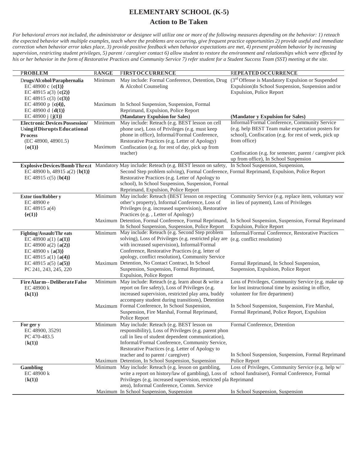### **ELEMENTARY SCHOOL (K-5)**

### **Action to Be Taken**

| <b>PROBLEM</b>                                   | <b>RANGE</b> | <b>FIRST OCCURRENCE</b>                                                                               | <b>REPEATED OCCURRENCE</b>                                                                                                             |
|--------------------------------------------------|--------------|-------------------------------------------------------------------------------------------------------|----------------------------------------------------------------------------------------------------------------------------------------|
| Drugs/Alcohol/Paraphernalia                      | Minimum      | May include: Formal Conference, Detention, Drug                                                       | (3 <sup>rd</sup> Offense is Mandatory Expulsion or Suspended                                                                           |
| EC 48900 c $(c(1))$                              |              | & Alcohol Counseling                                                                                  | Expulsion)In School Suspension, Suspension and/or                                                                                      |
| EC 48915 a(3) $\{c(2)\}\$                        |              |                                                                                                       | <b>Expulsion, Police Report</b>                                                                                                        |
| EC 48915 c(3) {c(3)}<br>EC 48900 p { $c(4)$ },   |              | Maximum In School Suspension, Suspension, Formal                                                      |                                                                                                                                        |
| EC 48900 d $\{d(1)\}\$                           |              | Reprimand, Expulsion, Police Report                                                                   |                                                                                                                                        |
| EC 48900 $j \{j(1)\}$                            |              | (Mandatory Expulsion for Sales)                                                                       | (Mandator y Expulsion for Sales)                                                                                                       |
| <b>Electronic Devices Possession/</b>            | Minimum      | May include: Reteach (e.g. BEST lesson on cell                                                        | Informal/Formal Conference, Community Service                                                                                          |
| <b>Using if Disrupts Educational</b>             |              | phone use), Loss of Privileges (e.g. must keep                                                        | (e.g. help BEST Team make expectation posters for                                                                                      |
| Pr ocess                                         |              | phone in office), Informal/Formal Conference,                                                         | school), Confiscation (e.g. for rest of week, pick up                                                                                  |
| (EC 48900, 48901.5)                              |              | Restorative Practices (e.g. Letter of Apology)                                                        | from office)                                                                                                                           |
| ${o(1)}$                                         | Maximum      | Confiscation (e.g. for rest of day, pick up from                                                      |                                                                                                                                        |
|                                                  |              | teacher)                                                                                              | Confiscation (e.g. for semester, parent / caregiver pick<br>up from office), In School Suspension                                      |
|                                                  |              | Explosive Devices/Bomb Threat Mandatory May include: Reteach (e.g. BEST lesson on safety,             | In School Suspension, Suspension,                                                                                                      |
| EC 48900 b, 48915 a(2) {b(1)}                    |              | Second Step problem solving), Formal Conference, Formal Reprimand, Expulsion, Police Report           |                                                                                                                                        |
| EC 48915 c(5) ${b(4)}$                           |              | Restorative Practices (e.g. Letter of Apology to<br>school), In School Suspension, Suspension, Formal |                                                                                                                                        |
|                                                  |              | Reprimand, Expulsion, Police Report                                                                   |                                                                                                                                        |
| <b>Extor tion/Robber y</b>                       |              | Minimum May include: Reteach (BEST lesson on respecting                                               | Community Service (e.g. replace item, voluntary wor                                                                                    |
| EC 48900 e                                       |              | other's property), Informal Conference, Loss of                                                       | in lieu of payment), Loss of Privileges                                                                                                |
| EC 48915 $a(4)$                                  |              | Privileges (e.g. increased supervision), Restorative                                                  |                                                                                                                                        |
| ${e(1)}$                                         |              | Practices (e.g., Letter of Apology)                                                                   |                                                                                                                                        |
|                                                  |              | In School Suspension, Suspension, Police Report                                                       | Maximum Detention, Formal Conference, Formal Reprimand, In School Suspension, Suspension, Formal Reprimand<br>Expulsion, Police Report |
| <b>Fighting/Assault/Thr eats</b>                 |              | Minimum May include: Reteach (e.g. Second Step problem                                                | Informal/Formal Conference, Restorative Practices                                                                                      |
| EC 48900 a(1) $\{a(1)\}$                         |              | solving), Loss of Privileges (e.g. restricted play are                                                | (e.g. conflict resolution)                                                                                                             |
| EC 48900 a(2) $\{a(2)\}$                         |              | with increased supervision), Informal/Formal<br>Conference, Restorative Practices (e.g. letter of     |                                                                                                                                        |
| EC 48900 s ${a(3)}$<br>EC 48915 a(1) $\{a(4)\}\$ |              | apology, conflict resolution), Community Service                                                      |                                                                                                                                        |
| EC 48915 a(5) $\{a(5)\}$                         |              | Maximum Detention, No Contact Contract, In School                                                     | Formal Reprimand, In School Suspension,                                                                                                |
| PC 241, 243, 245, 220                            |              | Suspension, Suspension, Formal Reprimand,                                                             | Suspension, Expulsion, Police Report                                                                                                   |
|                                                  |              | Expulsion, Police Report                                                                              |                                                                                                                                        |
| FireAlarm--DeliberateFalse                       |              | Minimum May include: Reteach (e.g. learn about & write a                                              | Loss of Privileges, Community Service (e.g. make up                                                                                    |
| EC 48900 k                                       |              | report on fire safety), Loss of Privileges (e.g.                                                      | for lost instructional time by assisting in office,                                                                                    |
| ${k(1)}$                                         |              | increased supervision, restricted play area, buddy                                                    | volunteer for fire department)                                                                                                         |
|                                                  |              | accompany student during transitions), Detention<br>Maximum Formal Conference, In School Suspension,  | In School Suspension, Suspension, Fire Marshal,                                                                                        |
|                                                  |              | Suspension, Fire Marshal, Formal Reprimand,                                                           | Formal Reprimand, Police Report, Expulsion                                                                                             |
|                                                  |              | Police Report                                                                                         |                                                                                                                                        |
| For ger y                                        |              | Minimum May include: Reteach (e.g. BEST lesson on                                                     | Formal Conference, Detention                                                                                                           |
| EC 48900, 35291                                  |              | responsibility), Loss of Privileges (e.g. parent phon                                                 |                                                                                                                                        |
| PC 470-483.5                                     |              | call in lieu of student dependent communication),                                                     |                                                                                                                                        |
| ${k(1)}$                                         |              | Informal/Formal Conference, Community Service,                                                        |                                                                                                                                        |
|                                                  |              | Restorative Practices (e.g. Letter of Apology to                                                      |                                                                                                                                        |
|                                                  |              | teacher and to parent / caregiver)<br>Maximum Detention, In School Suspension, Suspension             | In School Suspension, Suspension, Formal Reprimand<br>Police Report                                                                    |
| <b>Gambling</b>                                  |              | Minimum May include: Reteach (e.g. lesson on gambling,                                                | Loss of Privileges, Community Service (e.g. help w/                                                                                    |
| EC 48900 k                                       |              | write a report on history/law of gambling), Loss of school fundraiser), Formal Conference, Formal     |                                                                                                                                        |
| ${k(1)}$                                         |              | Privileges (e.g. increased supervision, restricted pla Reprimand                                      |                                                                                                                                        |
|                                                  |              | area), Informal Conference, Comm. Service                                                             |                                                                                                                                        |
|                                                  |              | Maximum In School Suspension, Suspension                                                              | In School Suspension, Suspension                                                                                                       |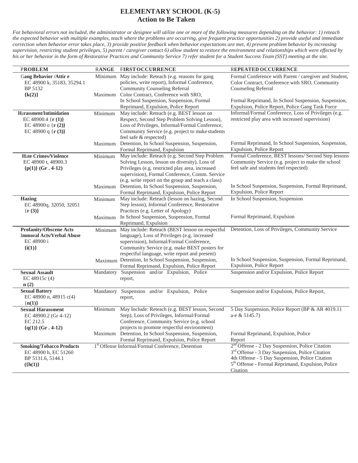### **ELEMENTARY SCHOOL (K-5) Action to Be Taken**

| <b>PROBLEM</b>                                                                                              | <b>RANGE</b> | <b>FIRST OCCURRENCE</b>                                                                                                                                                                                                                                     | REPEATED OCCURRENCE                                                                                                                                                                                                                                        |
|-------------------------------------------------------------------------------------------------------------|--------------|-------------------------------------------------------------------------------------------------------------------------------------------------------------------------------------------------------------------------------------------------------------|------------------------------------------------------------------------------------------------------------------------------------------------------------------------------------------------------------------------------------------------------------|
| Gang Behavior /Attir e<br>EC 48900 k, 35183, 35294.1<br>BP 5132                                             | Minimum      | May include: Reteach (e.g. reasons for gang<br>policies, write report), Informal Conference,<br><b>Community Counseling Referral</b>                                                                                                                        | Formal Conference with Parent / caregiver and Student,<br>Color Contract, Conference with SRO, Community<br>Counseling Referral                                                                                                                            |
| ${k(2)}$                                                                                                    | Maximum      | Color Contract, Conference with SRO,<br>In School Suspension, Suspension, Formal<br>Reprimand, Expulsion, Police Report                                                                                                                                     | Formal Reprimand, In School Suspension, Suspension,<br>Expulsion, Police Report, Police Gang Task Force                                                                                                                                                    |
| Harassment/Intimidation<br>EC 48900.4 $\{r(1)\}$<br>EC 48900 o { $r(2)$ }<br>EC 48900 q { $\mathbf{r}(3)$ } | Minimum      | May include: Reteach (e.g. BEST lesson on<br>Respect, Second Step Problem Solving Lesson),<br>Loss of Privileges, Informal/Formal Conference,<br>Community Service (e.g. project to make students<br>feel safe & respected)                                 | Informal/Formal Conference, Loss of Privileges (e.g.<br>restricted play area with increased supervision)                                                                                                                                                   |
|                                                                                                             | Maximum      | Detention, In School Suspension, Suspension,<br>Formal Reprimand, Expulsion                                                                                                                                                                                 | Formal Reprimand, In School Suspension, Suspension,<br>Expulsion, Police Report                                                                                                                                                                            |
| <b>Hate Crimes/Violence</b><br>EC 48900 t, 48900.3<br>${p(1)}$ (Gr. 4-12)                                   | Minimum      | May include: Reteach (e.g. Second Step Problem<br>Solving Lesson, lesson on diversity), Loss of<br>Privileges (e.g. restricted play area, increased<br>supervision), Formal Conference, Comm. Service<br>(e.g. write report on the group and teach a class) | Formal Conference, BEST lessons/ Second Step lessons<br>Community Service (e.g. project to make the school<br>feel safe and students feel respected)                                                                                                       |
|                                                                                                             | Maximum      | Detention, In School Suspension, Suspension,<br>Formal Reprimand, Expulsion, Police Report                                                                                                                                                                  | In School Suspension, Suspension, Formal Reprimand,<br>Expulsion, Police Report                                                                                                                                                                            |
| <b>Hazing</b><br>EC 48900q, 32050, 32051<br>$\{r(3)\}\$                                                     | Minimum      | May include: Reteach (lesson on hazing, Second<br>Step lesson), Informal Conference, Restorative<br>Practices (e.g. Letter of Apology)                                                                                                                      | In School Suspension, Suspension                                                                                                                                                                                                                           |
|                                                                                                             | Maximum      | In School Suspension, Suspension, Formal<br>Reprimand, Expulsion                                                                                                                                                                                            | Formal Reprimand, Expulsion                                                                                                                                                                                                                                |
| <b>Profanity/Obscene Acts</b><br><b>Immoral Acts/Verbal Abuse</b><br>EC 48900 i<br>$\{i(1)\}\$              | Minimum      | May include: Reteach (BEST lesson on respectful<br>language), Loss of Privileges (e.g. increased<br>supervision), Informal/Formal Conference,<br>Community Service (e.g. make BEST posters for<br>respectful language, write report and present)            | Detention, Loss of Privileges, Community Service                                                                                                                                                                                                           |
|                                                                                                             |              | Maximum Detention, In School Suspension, Suspension,<br>Formal Reprimand, Expulsion, Police Report                                                                                                                                                          | In School Suspension, Suspension, Formal Reprimand,<br>Expulsion, Police Report                                                                                                                                                                            |
| <b>Sexual Assault</b><br>EC 48915c (4)<br>n(2)                                                              |              | Mandatory Suspension and/or Expulsion, Police<br>report,                                                                                                                                                                                                    | Suspension and/or Expulsion, Police Report                                                                                                                                                                                                                 |
| <b>Sexual Battery</b><br>EC 48900 n, 48915 $c(4)$<br>${n(1)}$                                               |              | Mandatory Suspension and/or Expulsion, Police<br>report,                                                                                                                                                                                                    | Suspension and/or Expulsion, Police Report,                                                                                                                                                                                                                |
| <b>Sexual Harassment</b><br>EC 48900.2 (Gr 4-12)<br>EC 212.5<br>${q(1)}$ (Gr. 4-12)                         | Minimum      | May Include: Reteach (e.g. BEST lesson, Second<br>Step), Loss of Privileges, Informal/Formal<br>Conference, Community Service (e.g. school<br>projects to promote respectful environment)                                                                   | 5 Day Suspension, Police Report (BP & AR 4019.11<br>a-e & 5145.7)                                                                                                                                                                                          |
|                                                                                                             |              | Maximum Detention, In School Suspension, Suspension,<br>Formal Reprimand, Expulsion, Police Report                                                                                                                                                          | Formal Reprimand, Expulsion, Police<br>Report                                                                                                                                                                                                              |
| <b>Smoking/Tobacco Products</b><br>EC 48900 h, EC 51260<br>BP 5131.6, 5144.1<br>$({h(1)}$                   |              | 1 <sup>st</sup> Offense Informal/Formal Conference, Detention                                                                                                                                                                                               | 2 <sup>nd</sup> Offense - 2 Day Suspension, Police Citation<br>3 <sup>rd</sup> Offense - 3 Day Suspension, Police Citation<br>4th Offense - 5 Day Suspension, Police Citation<br>5 <sup>th</sup> Offense - Formal Reprimand, Expulsion, Police<br>Citation |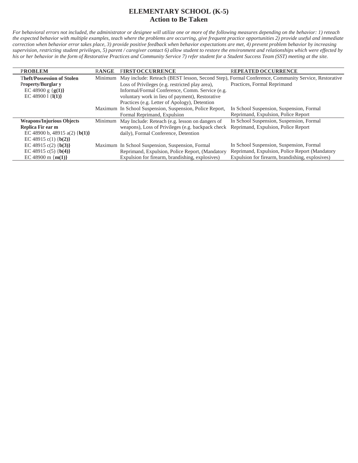### **ELEMENTARY SCHOOL (K-5) Action to Be Taken**

| <b>PROBLEM</b>                    | <b>RANGE</b> | <b>FIRST OCCURRENCE</b>                                  | <b>REPEATED OCCURRENCE</b>                                                                                 |
|-----------------------------------|--------------|----------------------------------------------------------|------------------------------------------------------------------------------------------------------------|
| <b>Theft/Possession of Stolen</b> |              |                                                          | Minimum May include: Reteach (BEST lesson, Second Step), Formal Conference, Community Service, Restorative |
| <b>Property/Burglar y</b>         |              | Loss of Privileges (e.g. restricted play area).          | Practices, Formal Reprimand                                                                                |
| EC 48900 g { $g(1)$ }             |              | Informal/Formal Conference, Comm. Service (e.g.          |                                                                                                            |
| EC 48900 1 $\{I(1)\}$             |              | voluntary work in lieu of payment), Restorative          |                                                                                                            |
|                                   |              | Practices (e.g. Letter of Apology), Detention            |                                                                                                            |
|                                   |              | Maximum In School Suspension, Suspension, Police Report, | In School Suspension, Suspension, Formal                                                                   |
|                                   |              | Formal Reprimand, Expulsion                              | Reprimand, Expulsion, Police Report                                                                        |
| <b>Weapons/Injurious Objects</b>  |              | Minimum May Include: Reteach (e.g. lesson on dangers of  | In School Suspension, Suspension, Formal                                                                   |
| Replica Fir ear m                 |              | weapons), Loss of Privileges (e.g. backpack check        | Reprimand, Expulsion, Police Report                                                                        |
| EC 48900 b, 48915 a(2) {b(1)}     |              | daily), Formal Conference, Detention                     |                                                                                                            |
| EC 48915 c(1) ${b(2)}$            |              |                                                          |                                                                                                            |
| EC 48915 c(2) ${b(3)}$            |              | Maximum In School Suspension, Suspension, Formal         | In School Suspension, Suspension, Formal                                                                   |
| EC 48915 c(5) {b(4)}              |              | Reprimand, Expulsion, Police Report, (Mandatory          | Reprimand, Expulsion, Police Report (Mandatory                                                             |
| EC 48900 m { $m(1)$ }             |              | Expulsion for firearm, brandishing, explosives)          | Expulsion for firearm, brandishing, explosives)                                                            |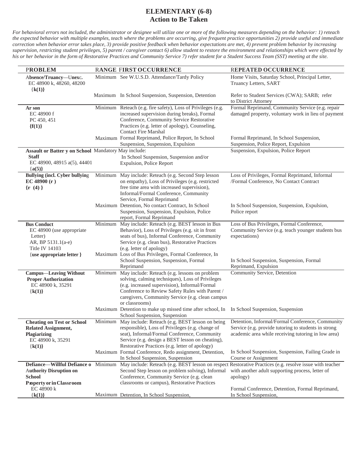| <b>PROBLEM</b>                                                                                                    |         | RANGE FIRST OCCURRENCE                                                                                                                                                                                                                                                      | <b>REPEATED OCCURRENCE</b>                                                                                                                                               |
|-------------------------------------------------------------------------------------------------------------------|---------|-----------------------------------------------------------------------------------------------------------------------------------------------------------------------------------------------------------------------------------------------------------------------------|--------------------------------------------------------------------------------------------------------------------------------------------------------------------------|
| Absence/Truancy-Unexc.<br>EC 48900 k, 48260, 48200<br>${k(1)}$                                                    |         | Minimum See W.U.S.D. Attendance/Tardy Policy                                                                                                                                                                                                                                | Home Visits, Saturday School, Principal Letter,<br>Truancy Letters, SART                                                                                                 |
|                                                                                                                   |         | Maximum In School Suspension, Suspension, Detention                                                                                                                                                                                                                         | Refer to Student Services (CWA); SARB; refer<br>to District Attorney                                                                                                     |
| Ar son<br>EC 48900 f<br>PC 450, 451<br>${f(1)}$                                                                   |         | Minimum Reteach (e.g. fire safety), Loss of Privileges (e.g.<br>increased supervision during breaks), Formal<br>Conference, Community Service Restorative<br>Practices (e.g. letter of apology), Counseling,<br><b>Contact Fire Marshal</b>                                 | Formal Reprimand, Community Service (e.g. repair<br>damaged property, voluntary work in lieu of payment                                                                  |
|                                                                                                                   |         | Maximum Formal Reprimand, Police Report, In School<br>Suspension, Suspension, Expulsion                                                                                                                                                                                     | Formal Reprimand, In School Suspension,<br>Suspension, Police Report, Expulsion                                                                                          |
| Assault or Batter y on School Mandatory May include:<br><b>Staff</b><br>EC 48900, 48915 a(5), 44401<br>${a(5)}$   |         | In School Suspension, Suspension and/or<br>Expulsion, Police Report                                                                                                                                                                                                         | Suspension, Expulsion, Police Report                                                                                                                                     |
| <b>Bullying (incl. Cyber bullying</b><br>EC 48900 (r)<br>$\{r(4)\}\$                                              |         | Minimum May include: Reteach (e.g. Second Step lesson<br>on empathy), Loss of Privileges (e.g. restricted<br>free time area with increased supervision),<br>Informal/Formal Conference, Community<br>Service, Formal Reprimand                                              | Loss of Privileges, Formal Reprimand, Informal<br>/Formal Conference, No Contact Contract                                                                                |
|                                                                                                                   |         | Maximum Detention, No contact Contract, In School<br>Suspension, Suspension, Expulsion, Police<br>report, Formal Reprimand                                                                                                                                                  | In School Suspension, Suspension, Expulsion,<br>Police report                                                                                                            |
| <b>Bus Conduct</b><br>EC 48900 (use appropriate<br>Letter)<br>AR, BP 5131.1(a-e)<br><b>Title IV 14103</b>         | Minimum | May include: Reteach (e.g. BEST lesson in Bus<br>Behavior), Loss of Privileges (e.g. sit in front<br>seats of bus), Informal Conference, Community<br>Service (e.g. clean bus), Restorative Practices<br>(e.g. letter of apology)                                           | Loss of Bus Privileges, Formal Conference,<br>Community Service (e.g. teach younger students bus<br>expectations)                                                        |
| {use appropriate letter }                                                                                         |         | Maximum Loss of Bus Privileges, Formal Conference, In<br>School Suspension, Suspension, Formal<br>Reprimand                                                                                                                                                                 | In School Suspension, Suspension, Formal<br>Reprimand, Expulsion                                                                                                         |
| <b>Campus—Leaving Without</b><br><b>Proper Authorization</b><br>EC 48900 k, 35291<br>${k(1)}$                     | Minimum | May include: Reteach (e.g. lessons on problem<br>solving, calming techniques), Loss of Privileges<br>(e.g. increased supervision), Informal/Formal<br>Conference to Review Safety Rules with Parent /<br>caregivers, Community Service (e.g. clean campus<br>or classrooms) | Community Service, Detention                                                                                                                                             |
|                                                                                                                   |         | Maximum Detention to make up missed time after school, In In School Suspension, Suspension<br>School Suspension, Suspension                                                                                                                                                 |                                                                                                                                                                          |
| <b>Cheating on Test or School</b><br><b>Related Assignment,</b><br>Plagiarizing<br>EC 48900 k, 35291<br>${k(1)}$  |         | responsible), Loss of Privileges (e.g. change of Service (e.g. provide tutoring to students in strong<br>seat), Informal/Formal Conference, Community<br>Service (e.g. design a BEST lesson on cheating),<br>Restorative Practices (e.g. letter of apology)                 | Minimum May include: Reteach (e.g. BEST lesson on being Detention, Informal/Formal Conference, Community<br>academic area while receiving tutoring in low area)          |
|                                                                                                                   |         | Maximum Formal Conference, Redo assignment, Detention,<br>In School Suspension, Suspension                                                                                                                                                                                  | In School Suspension, Suspension, Failing Grade in<br>Course or Assignment                                                                                               |
| Defiance-Willful Defiance o<br><b>Authority Disruption on</b><br><b>School</b><br><b>Property or in Classroom</b> | Minimum | Second Step lesson on problem solving), Informal<br>Conference, Community Service (e.g. clean<br>classrooms or campus), Restorative Practices                                                                                                                               | May include: Reteach (e.g. BEST lesson on respect Restorative Practices (e.g. resolve issue with teacher<br>with another adult supporting process, letter of<br>apology) |
| EC 48900 k<br>${k(1)}$                                                                                            |         | Maximum Detention, In School Suspension,                                                                                                                                                                                                                                    | Formal Conference, Detention, Formal Reprimand,<br>In School Suspension,                                                                                                 |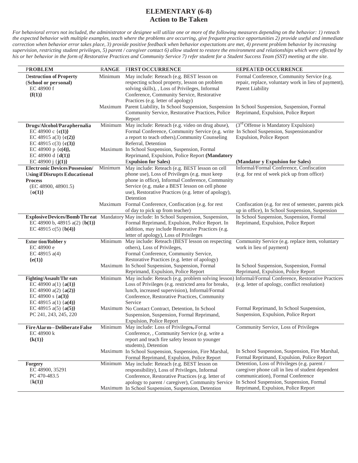| <b>PROBLEM</b>                                        | <b>RANGE</b> | <b>FIRST OCCURRENCE</b>                                                                                                           | REPEATED OCCURRENCE                                                                                      |
|-------------------------------------------------------|--------------|-----------------------------------------------------------------------------------------------------------------------------------|----------------------------------------------------------------------------------------------------------|
| <b>Destruction of Property</b>                        | Minimum      | May include: Reteach (e.g. BEST lesson on                                                                                         | Formal Conference, Community Service (e.g.                                                               |
| (School or personal)                                  |              | respecting school property, lesson on problem                                                                                     | repair, replace, voluntary work in lieu of payment),                                                     |
| EC 48900 f                                            |              | solving skills), , Loss of Privileges, Informal                                                                                   | Parent Liability                                                                                         |
| ${f(1)}$                                              |              | Conference, Community Service, Restorative                                                                                        |                                                                                                          |
|                                                       | Maximum      | Practices (e.g. letter of apology)<br>Parent Liability, In School Suspension, Suspension In School Suspension, Suspension, Formal |                                                                                                          |
|                                                       |              | Community Service, Restorative Practices, Police Reprimand, Expulsion, Police Report                                              |                                                                                                          |
|                                                       |              | Report                                                                                                                            |                                                                                                          |
| Drugs/Alcohol/Paraphernalia                           | Minimum      | May include: Reteach (e.g. video on drug abuse),                                                                                  | (3 <sup>rd</sup> Offense is Mandatory Expulsion)                                                         |
| EC 48900 c { $c(1)$ }                                 |              | Formal Conference, Community Service (e.g. write In School Suspension, Suspensionand/or                                           |                                                                                                          |
| EC 48915 a(3) $\{c(2)\}\$                             |              | a report to teach others), Community Counseling                                                                                   | Expulsion, Police Report                                                                                 |
| EC 48915 c(3) {c(3)}                                  |              | Referral, Detention                                                                                                               |                                                                                                          |
| EC 48900 p {c(4)},<br>EC 48900 d $\{d(1)\}\$          |              | Maximum In School Suspension, Suspension, Formal<br>Reprimand, Expulsion, Police Report (Mandatory                                |                                                                                                          |
| EC 48900 j ${j(1)}$                                   |              | <b>Expulsion for Sales</b> )                                                                                                      | (Mandator y Expulsion for Sales)                                                                         |
| <b>Electronic Devices Possession/</b>                 | Minimum      | May include: Reteach (e.g. BEST lesson on cell                                                                                    | Informal/Formal Conference, Confiscation                                                                 |
| <b>Using if Disrupts Educational</b>                  |              | phone use), Loss of Privileges (e.g. must keep                                                                                    | (e.g. for rest of week pick up from office)                                                              |
| <b>Process</b>                                        |              | phone in office), Informal Conference, Community                                                                                  |                                                                                                          |
| (EC 48900, 48901.5)                                   |              | Service (e.g. make a BEST lesson on cell phone                                                                                    |                                                                                                          |
| ${o(1)}$                                              |              | use), Restorative Practices (e.g. letter of apology),                                                                             |                                                                                                          |
|                                                       |              | Detention                                                                                                                         |                                                                                                          |
|                                                       | Maximum      | Formal Conference, Confiscation (e.g. for rest<br>of day to pick up from teacher)                                                 | Confiscation (e.g. for rest of semester, parents pick<br>up in office), In School Suspension, Suspension |
|                                                       |              | Explosive Devices/Bomb Threat Mandatory May include: In School Suspension, Suspension,                                            | In School Suspension, Suspension, Formal                                                                 |
| EC 48900 b, 48915 a(2) {b(1)}                         |              | Formal Reprimand, Expulsion, Police Report. In                                                                                    | Reprimand, Expulsion, Police Report                                                                      |
| EC 48915 c(5) ${b(4)}$                                |              | addition, may include Restorative Practices (e.g.                                                                                 |                                                                                                          |
|                                                       |              | letter of apology), Loss of Privileges                                                                                            |                                                                                                          |
| <b>Extor tion/Robber y</b>                            | Minimum      | May include: Reteach (BEST lesson on respecting                                                                                   | Community Service (e.g. replace item, voluntary                                                          |
| EC 48900 e                                            |              | others), Loss of Privileges,                                                                                                      | work in lieu of payment)                                                                                 |
| EC 48915 a(4)<br>${e(1)}$                             |              | Formal Conference, Community Service,<br>Restorative Practices (e.g. letter of apology)                                           |                                                                                                          |
|                                                       |              | Maximum In School Suspension, Suspension, Formal                                                                                  | In School Suspension, Suspension, Formal                                                                 |
|                                                       |              | Reprimand, Expulsion, Police Report                                                                                               | Reprimand, Expulsion, Police Report                                                                      |
| <b>Fighting/Assault/Thr eats</b>                      |              | Minimum May include: Reteach (e.g. problem solving lesson) Informal/Formal Conference, Restorative Practices                      |                                                                                                          |
| EC 48900 a(1) ${a(1)}$                                |              | Loss of Privileges (e.g. restricted area for breaks,                                                                              | (e.g. letter of apology, conflict resolution)                                                            |
| EC 48900 a(2) $\{a(2)\}$                              |              | lunch, increased supervision), Informal/Formal                                                                                    |                                                                                                          |
| EC 48900 s ${a(3)}$                                   |              | Conference, Restorative Practices, Community                                                                                      |                                                                                                          |
| EC 48915 a(1) $\{a(4)\}\$<br>EC 48915 a(5) { $a(5)$ } |              | Service<br>Maximum No Contact Contract, Detention, In School                                                                      | Formal Reprimand, In School Suspension,                                                                  |
| PC 241, 243, 245, 220                                 |              | Suspension, Suspension, Formal Reprimand,                                                                                         | Suspension, Expulsion, Police Report                                                                     |
|                                                       |              | <b>Expulsion, Police Report</b>                                                                                                   |                                                                                                          |
| Fire Alarm--Deliberate False                          |              | Minimum May include: Loss of Privileges, Formal                                                                                   | Community Service, Loss of Privileges                                                                    |
| EC 48900 k                                            |              | Conference, , Community Service (e.g. write a                                                                                     |                                                                                                          |
| ${k(1)}$                                              |              | report and teach fire safety lesson to younger                                                                                    |                                                                                                          |
|                                                       |              | students), Detention                                                                                                              | In School Suspension, Suspension, Fire Marshal,                                                          |
|                                                       |              | Maximum In School Suspension, Suspension, Fire Marshal,<br>Formal Reprimand, Expulsion, Police Report                             | Formal Reprimand, Expulsion, Police Report                                                               |
| <b>Forgery</b>                                        |              | Minimum May include: Reteach (e.g. BEST lesson on                                                                                 | Detention, Loss of Privileges (e.g. parent /                                                             |
| EC 48900, 35291                                       |              | responsibility), Loss of Privileges, Informal                                                                                     | caregiver phone call in lieu of student dependent                                                        |
| PC 470-483.5                                          |              | Conference, Restorative Practices (e.g. letter of                                                                                 | communication), Formal Conference                                                                        |
| ${k(1)}$                                              |              | apology to parent / caregiver), Community Service                                                                                 | In School Suspension, Suspension, Formal                                                                 |
|                                                       |              | Maximum In School Suspension, Suspension, Detention                                                                               | Reprimand, Expulsion, Police Report                                                                      |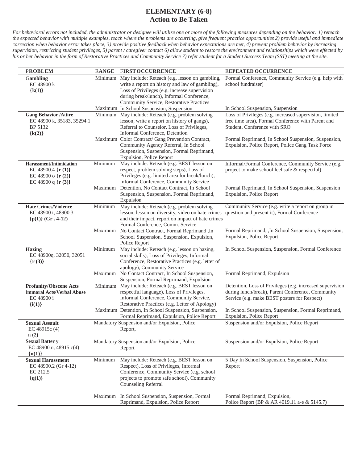| <b>PROBLEM</b>                                                                                            | <b>RANGE</b>       | <b>FIRST OCCURRENCE</b>                                                                                                                                                                                                                                                                                                                                 | REPEATED OCCURRENCE                                                                                                                                                                                                                                      |
|-----------------------------------------------------------------------------------------------------------|--------------------|---------------------------------------------------------------------------------------------------------------------------------------------------------------------------------------------------------------------------------------------------------------------------------------------------------------------------------------------------------|----------------------------------------------------------------------------------------------------------------------------------------------------------------------------------------------------------------------------------------------------------|
| Gambling<br>EC 48900 k<br>${k(1)}$                                                                        | Minimum            | May include: Reteach (e.g. lesson on gambling,<br>write a report on history and law of gambling),<br>Loss of Privileges (e.g. increase supervision<br>during break/lunch), Informal Conference,<br>Community Service, Restorative Practices                                                                                                             | Formal Conference, Community Service (e.g. help with<br>school fundraiser)                                                                                                                                                                               |
|                                                                                                           |                    | Maximum In School Suspension, Suspension                                                                                                                                                                                                                                                                                                                | In School Suspension, Suspension                                                                                                                                                                                                                         |
| <b>Gang Behavior /Attire</b><br>EC 48900 k, 35183, 35294.1<br>BP 5132<br>${k(2)}$                         | Minimum            | May include: Reteach (e.g. problem solving<br>lesson, write a report on history of gangs),<br>Referral to Counselor, Loss of Privileges,<br>Informal Conference, Detention<br>Maximum Color Contract/ Gang Prevention Contract,<br>Community Agency Referral, In School<br>Suspension, Suspension, Formal Reprimand,<br><b>Expulsion, Police Report</b> | Loss of Privileges (e.g. increased supervision, limited<br>free time area), Formal Conference with Parent and<br>Student, Conference with SRO<br>Formal Reprimand, In School Suspension, Suspension,<br>Expulsion, Police Report, Police Gang Task Force |
| <b>Harassment/Intimidation</b><br>EC 48900.4 $\{r(1)\}$<br>EC 48900 o $\{r(2)\}$<br>EC 48900 q { $r(3)$ } | Minimum<br>Maximum | May include: Reteach (e.g. BEST lesson on<br>respect, problem solving steps), Loss of<br>Privileges (e.g. limited area for break/lunch),<br>Informal Conference, Community Service<br>Detention, No Contact Contract, In School<br>Suspension, Suspension, Formal Reprimand,<br>Expulsion                                                               | Informal/Formal Conference, Community Service (e.g.<br>project to make school feel safe & respectful)<br>Formal Reprimand, In School Suspension, Suspension<br>Expulsion, Police Report                                                                  |
| <b>Hate Crimes/Violence</b><br>EC 48900 t, 48900.3<br>${p(1)}$ (Gr. 4-12)                                 | Minimum<br>Maximum | May include: Reteach (e.g. problem solving<br>lesson, lesson on diversity, video on hate crimes<br>and their impact, report on impact of hate crimes<br>Formal Conference, Comm. Service<br>No Contact Contract, Formal Reprimand ,In<br>School Suspension, Suspension, Expulsion,<br>Police Report                                                     | Community Service (e.g. write a report on group in<br>question and present it), Formal Conference<br>Formal Reprimand, , In School Suspension, Suspension,<br>Expulsion, Police Report                                                                   |
| <b>Hazing</b><br>EC 48900q, 32050, 32051<br>${r(3)}$                                                      | Minimum<br>Maximum | May include: Reteach (e.g. lesson on hazing,<br>social skills), Loss of Privileges, Informal<br>Conference, Restorative Practices (e.g. letter of<br>apology), Community Service<br>No Contact Contract, In School Suspension,<br>Suspension, Formal Reprimand, Expulsion                                                                               | In School Suspension, Suspension, Formal Conference<br>Formal Reprimand, Expulsion                                                                                                                                                                       |
| <b>Profanity/Obscene Acts</b><br><b>Immoral Acts/Verbal Abuse</b><br>EC 48900 i<br>$\{i(1)\}\$            | Minimum            | May include: Reteach (e.g. BEST lesson on<br>respectful language), Loss of Privileges,<br>Informal Conference, Community Service,<br>Restorative Practices (e.g. Letter of Apology)<br>Maximum Detention, In School Suspension, Suspension,<br>Formal Reprimand, Expulsion, Police Report                                                               | Detention, Loss of Privileges (e.g. increased supervision<br>during lunch/break), Parent Conference, Community<br>Service (e.g. make BEST posters for Respect)<br>In School Suspension, Suspension, Formal Reprimand,<br>Expulsion, Police Report        |
| <b>Sexual Assault</b><br>EC 48915c (4)<br>n(2)                                                            |                    | Mandatory Suspension and/or Expulsion, Police<br>Report,                                                                                                                                                                                                                                                                                                | Suspension and/or Expulsion, Police Report                                                                                                                                                                                                               |
| <b>Sexual Batter y</b><br>EC 48900 n, 48915 c(4)<br>${n(1)}$                                              |                    | Mandatory Suspension and/or Expulsion, Police<br>Report                                                                                                                                                                                                                                                                                                 | Suspension and/or Expulsion, Police Report                                                                                                                                                                                                               |
| <b>Sexual Harassment</b><br>EC 48900.2 (Gr 4-12)<br>EC 212.5<br>${q(1)}$                                  | Minimum            | May include: Reteach (e.g. BEST lesson on<br>Respect), Loss of Privileges, Informal<br>Conference, Community Service (e.g. school<br>projects to promote safe school), Community<br><b>Counseling Referral</b>                                                                                                                                          | 5 Day In School Suspension, Suspension, Police<br>Report                                                                                                                                                                                                 |
|                                                                                                           |                    | Maximum In School Suspension, Suspension, Formal<br>Reprimand, Expulsion, Police Report                                                                                                                                                                                                                                                                 | Formal Reprimand, Expulsion,<br>Police Report (BP & AR 4019.11 a-e & 5145.7)                                                                                                                                                                             |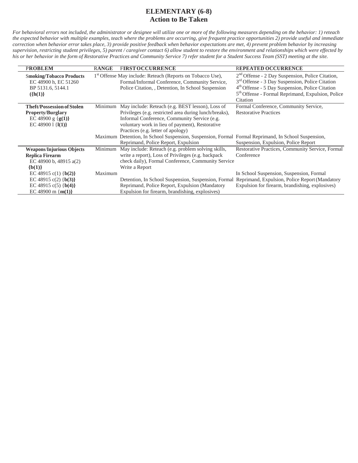| <b>PROBLEM</b>                                                                            | <b>RANGE</b> | <b>FIRST OCCURRENCE</b>                                                                                                                                                      | <b>REPEATED OCCURRENCE</b>                                                                                                                                                                                                                        |
|-------------------------------------------------------------------------------------------|--------------|------------------------------------------------------------------------------------------------------------------------------------------------------------------------------|---------------------------------------------------------------------------------------------------------------------------------------------------------------------------------------------------------------------------------------------------|
| <b>Smoking/Tobacco Products</b><br>EC 48900 h, EC 51260<br>BP 5131.6, 5144.1<br>$({h(1)}$ |              | 1 <sup>st</sup> Offense May include: Reteach (Reports on Tobacco Use),<br>Formal/Informal Conference, Community Service,<br>Police Citation, Detention, In School Suspension | $2nd$ Offense - 2 Day Suspension, Police Citation,<br>3 <sup>rd</sup> Offense - 3 Day Suspension, Police Citation<br>4th Offense - 5 Day Suspension, Police Citation<br>5 <sup>th</sup> Offense - Formal Reprimand, Expulsion, Police<br>Citation |
| <b>Theft/Possession of Stolen</b>                                                         | Minimum      | May include: Reteach (e.g. BEST lesson), Loss of                                                                                                                             | Formal Conference, Community Service,                                                                                                                                                                                                             |
| <b>Property/Burglary</b>                                                                  |              | Privileges (e.g. restricted area during lunch/breaks),                                                                                                                       | <b>Restorative Practices</b>                                                                                                                                                                                                                      |
| EC 48900 g ${g(1)}$                                                                       |              | Informal Conference, Community Service (e.g.                                                                                                                                 |                                                                                                                                                                                                                                                   |
| EC 48900 1 $\{I(1)\}$                                                                     |              | voluntary work in lieu of payment), Restorative                                                                                                                              |                                                                                                                                                                                                                                                   |
|                                                                                           |              | Practices (e.g. letter of apology)                                                                                                                                           |                                                                                                                                                                                                                                                   |
|                                                                                           |              | Maximum Detention, In School Suspension, Suspension, Formal Formal Reprimand, In School Suspension,                                                                          |                                                                                                                                                                                                                                                   |
|                                                                                           |              | Reprimand, Police Report, Expulsion                                                                                                                                          | Suspension, Expulsion, Police Report                                                                                                                                                                                                              |
| <b>Weapons/Injurious Objects</b>                                                          | Minimum      | May include: Reteach (e.g. problem solving skills,                                                                                                                           | Restorative Practices, Community Service, Formal                                                                                                                                                                                                  |
| <b>Replica Firearm</b>                                                                    |              | write a report), Loss of Privileges (e.g. backpack                                                                                                                           | Conference                                                                                                                                                                                                                                        |
| EC 48900 b, 48915 a(2)                                                                    |              | check daily), Formal Conference, Community Service                                                                                                                           |                                                                                                                                                                                                                                                   |
| ${b(1)}$                                                                                  |              | Write a Report                                                                                                                                                               |                                                                                                                                                                                                                                                   |
| EC 48915 c(1) ${b(2)}$                                                                    | Maximum      |                                                                                                                                                                              | In School Suspension, Suspension, Formal                                                                                                                                                                                                          |
| EC 48915 c(2) ${b(3)}$                                                                    |              | Detention, In School Suspension, Suspension, Formal                                                                                                                          | Reprimand, Expulsion, Police Report (Mandatory                                                                                                                                                                                                    |
| EC 48915 c(5) {b(4)}                                                                      |              | Reprimand, Police Report, Expulsion (Mandatory                                                                                                                               | Expulsion for firearm, brandishing, explosives)                                                                                                                                                                                                   |
| EC 48900 m { $m(1)$ }                                                                     |              | Expulsion for firearm, brandishing, explosives)                                                                                                                              |                                                                                                                                                                                                                                                   |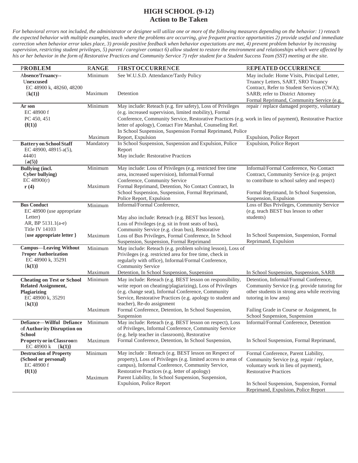### **HIGH SCHOOL (9-12) Action to Be Taken**

| <b>PROBLEM</b>                                                                                                   | <b>RANGE</b>                           | <b>FIRSTOCCURRENCE</b>                                                                                                                                                                                                                                                              | REPEATED OCCURRENCE                                                                                                                                      |
|------------------------------------------------------------------------------------------------------------------|----------------------------------------|-------------------------------------------------------------------------------------------------------------------------------------------------------------------------------------------------------------------------------------------------------------------------------------|----------------------------------------------------------------------------------------------------------------------------------------------------------|
| Absence/Truancy--<br>Unexcused                                                                                   | Minimum                                | See W.U.S.D. Attendance/Tardy Policy                                                                                                                                                                                                                                                | May include: Home Visits, Principal Letter,<br>Truancy Letters, SART, SRO Truancy                                                                        |
| EC 48900 k, 48260, 48200<br>${k(1)}$                                                                             | Maximum                                | Detention                                                                                                                                                                                                                                                                           | Contract, Refer to Student Services (CWA);<br>SARB; refer to District Attorney<br>Formal Reprimand, Community Service (e.g.                              |
| Ar son<br>EC 48900 f                                                                                             | Minimum                                | May include: Reteach (e.g. fire safety), Loss of Privileges<br>(e.g. increased supervision, limited mobility), Formal                                                                                                                                                               | repair / replace damaged property, voluntary                                                                                                             |
| PC 450, 451<br>${f(1)}$                                                                                          |                                        | Conference, Community Service, Restorative Practices (e.g. work in lieu of payment), Restorative Practice<br>letter of apology), Contact Fire Marshal, Counseling Ref.                                                                                                              |                                                                                                                                                          |
|                                                                                                                  | Maximum                                | In School Suspension, Suspension Formal Reprimand, Police<br>Report, Expulsion                                                                                                                                                                                                      | Expulsion, Police Report                                                                                                                                 |
| <b>Battery on School Staff</b><br>EC 48900, 48915 a(5),<br>44401<br>${a(5)}$                                     | Mandatory                              | In School Suspension, Suspension and Expulsion, Police<br>Report<br>May include: Restorative Practices                                                                                                                                                                              | <b>Expulsion, Police Report</b>                                                                                                                          |
| <b>Bullying (incl.</b><br><b>Cyber bullying</b> )<br>EC $48900(r)$                                               | $\overline{\text{Minimum}}$<br>Maximum | May include: Loss of Privileges (e.g. restricted free time<br>area, increased supervision), Informal/Formal<br>Conference, Community Service<br>Formal Reprimand, Detention, No Contact Contract, In                                                                                | Informal/Formal Conference, No Contact<br>Contract, Community Service (e.g. project<br>to contribute to school safety and respect)                       |
| $\mathbf{r}(4)$                                                                                                  |                                        | School Suspension, Suspension, Formal Reprimand,<br>Police Report, Expulsion                                                                                                                                                                                                        | Formal Reprimand, In School Suspension,<br>Suspension, Expulsion                                                                                         |
| <b>Bus Conduct</b><br>EC 48900 (use appropriate<br>Letter)<br>AR, BP 5131.1(a-e)                                 | Minimum                                | Informal/Formal Conference,<br>May also include: Reteach (e.g. BEST bus lesson),<br>Loss of Privileges (e.g. sit in front seats of bus),                                                                                                                                            | Loss of Bus Privileges, Community Service<br>(e.g. teach BEST bus lesson to other<br>students)                                                           |
| Title IV 14103<br>{use appropriate letter }                                                                      | Maximum                                | Community Service (e.g. clean bus), Restorative<br>Loss of Bus Privileges, Formal Conference, In School<br>Suspension, Suspension, Formal Reprimand                                                                                                                                 | In School Suspension, Suspension, Formal<br>Reprimand, Expulsion                                                                                         |
| <b>Campus—Leaving Without</b><br><b>Proper Authorization</b><br>EC 48900 k, 35291<br>${k(1)}$                    | Minimum<br>Maximum                     | May include: Reteach (e.g. problem solving lesson), Loss of<br>Privileges (e.g. restricted area for free time, check in<br>regularly with office), Informal/Formal Conference,<br>Community Service<br>Detention, In School Suspension, Suspension                                  |                                                                                                                                                          |
|                                                                                                                  | Minimum                                | May include: Reteach (e.g. BEST lesson on responsibility,                                                                                                                                                                                                                           | In School Suspension, Suspension, SARB<br>Detention, Informal/Formal Conference,                                                                         |
| <b>Cheating on Test or School</b><br><b>Related Assignment,</b><br>Plagiarizing<br>EC 48900 k, 35291<br>${k(1)}$ |                                        | write report on cheating/plagiarizing), Loss of Privileges<br>(e.g. change seat), Informal Conference, Community<br>Service, Restorative Practices (e.g. apology to student and<br>teacher), Re-do assignment                                                                       | Community Service (e.g. provide tutoring for<br>other students in strong area while receiving<br>tutoring in low area)                                   |
|                                                                                                                  | Maximum                                | Formal Conference, Detention, In School Suspension,<br>Suspension                                                                                                                                                                                                                   | Failing Grade in Course or Assignment, In<br>School Suspension, Suspension                                                                               |
| Defiance-Willful Defiance<br>of Authority Disruption on<br><b>School</b>                                         | Minimum                                | May include: Reteach (e.g. BEST lesson on respect), Loss<br>of Privileges, Informal Conference, Community Service<br>(e.g. help teacher in classroom), Restorative                                                                                                                  | Informal/Formal Conference, Detention                                                                                                                    |
| Property or in Classroom<br>EC 48900 k<br>${k(1)}$                                                               | Maximum                                | Formal Conference, Detention, In School Suspension,                                                                                                                                                                                                                                 | In School Suspension, Formal Reprimand,                                                                                                                  |
| <b>Destruction of Property</b><br>(School or personal)<br>EC 48900 f<br>${f(1)}$                                 | Minimum                                | May include: Reteach (e.g. BEST lesson on Respect of<br>property), Loss of Privileges (e.g. limited access to areas of<br>campus), Informal Conference, Community Service,<br>Restorative Practices (e.g. letter of apology)<br>Parent Liability, In School Suspension, Suspension, | Formal Conference, Parent Liability,<br>Community Service (e.g. repair / replace,<br>voluntary work in lieu of payment),<br><b>Restorative Practices</b> |
|                                                                                                                  | Maximum                                | <b>Expulsion, Police Report</b>                                                                                                                                                                                                                                                     | In School Suspension, Suspension, Formal<br>Reprimand, Expulsion, Police Report                                                                          |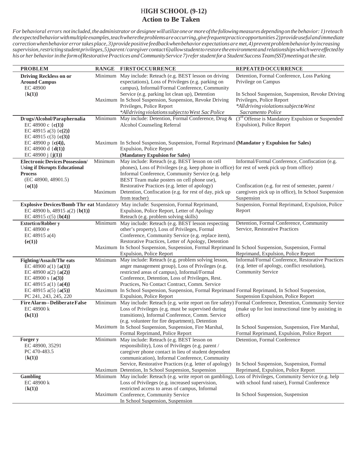### H**IGH SCHOOL (9-12) Action to Be Taken**

| Minimum May include: Reteach (e.g. BEST lesson on driving<br>Detention, Formal Conference, Loss Parking<br><b>Driving Reckless on or</b><br>expectations), Loss of Privileges (e.g. parking on<br>Privilege on Campus<br><b>Around Campus</b><br>campus), Informal/Formal Conference, Community<br>EC 48900<br>${k(1)}$<br>Service (e.g. parking lot clean up), Detention<br>In School Suspension, Suspension, Revoke Driving<br>Maximum In School Suspension, Suspension, Revoke Driving<br>Privileges, Police Report<br>*All driving violations subject to West<br>Privileges, Police Report<br>*Alldriving violations subject to West Sac Police<br>Sacramento Police<br>(3 <sup>rd</sup> Offense is Mandatory Expulsion or Suspended<br>Minimum May include: Detention, Formal Conference, Drug &<br>Drugs/Alcohol/Paraphernalia<br>Expulsion), Police Report<br>EC 48900 c $(c(1))$<br>Alcohol Counseling Referral<br>EC 48915 a(3) { $c(2)$ }<br>EC 48915 c(3) {c(3)}<br>EC 48900 p { $c(4)$ },<br>Maximum In School Suspension, Suspension, Formal Reprimand (Mandator y Expulsion for Sales)<br>EC 48900 d $\{d(1)\}\$<br>Expulsion, Police Report<br>EC 48900 j $\{j(1)\}$<br>(Mandatory Expulsion for Sales)<br>Minimum<br>May include: Reteach (e.g. BEST lesson on cell<br>Informal/Formal Conference, Confiscation (e.g.<br><b>Electronic Devices Possession/</b><br>phones), Loss of Privileges (e.g. keep phone in office) for rest of week pick up from office)<br><b>Using if Disrupts Educational</b><br>Informal Conference, Community Service (e.g. help<br><b>Process</b><br>(EC 48900, 48901.5)<br>BEST Team make posters on cell phone use),<br>Restorative Practices (e.g. letter of apology)<br>${o(1)}$<br>Confiscation (e.g. for rest of semester, parent /<br>Maximum Detention, Confiscation (e.g. for rest of day, pick up<br>caregivers pick up in office), In School Suspension<br>from teacher)<br>Suspension<br>Explosive Devices/Bomb Thr eat Mandatory May include: Suspension, Formal Reprimand,<br>Suspension, Formal Reprimand, Expulsion, Police<br>EC 48900 b, 48915 a(2) {b(1)}<br>Expulsion, Police Report, Letter of Apology<br>Report<br>EC 48915 c(5) ${b(4)}$<br>Reteach (e.g. problem solving skills)<br>Minimum May include: Reteach (e.g. BEST lesson respecting<br>Detention, Formal Conference, Community<br><b>Extortion/Robber y</b><br>Service, Restorative Practices<br>EC 48900 e<br>other's property), Loss of Privileges, Formal<br>Conference, Community Service (e.g. replace item),<br>EC 48915 $a(4)$<br>Restorative Practices, Letter of Apology, Detention<br>${e(1)}$<br>Maximum In School Suspension, Suspension, Formal Reprimand In School Suspension, Suspension, Formal<br>Expulsion, Police Report<br>Reprimand, Expulsion, Police Report<br>Informal/Formal Conference, Restorative Practices<br>Minimum May include: Reteach (e.g. problem solving lesson,<br>Fighting/Assault/Thr eats<br>(e.g. letter of apology, conflict resolution),<br>anger management group), Loss of Privileges (e.g.<br>EC 48900 a(1) $\{a(1)\}\$<br>Community Service<br>restricted areas of campus), Informal/Formal<br>EC 48900 a(2) $\{a(2)\}$<br>Conference, Detention, Loss of Privileges, Rest.<br>EC 48900 s { $a(3)$ }<br>Practices, No Contact Contract, Comm. Service<br>EC 48915 a(1) $\{a(4)\}\$<br>Maximum In School Suspension, Suspension, Formal Reprimand Formal Reprimand, In School Suspension,<br>EC 48915 a(5) $\{a(5)\}$<br>Expulsion, Police Report<br>Suspension Expulsion, Police Report<br>PC 241, 243, 245, 220<br>FireAlarm--DeliberateFalse<br>Minimum May include: Reteach (e.g. write report on fire safety) Formal Conference, Detention, Community Service<br>Loss of Privileges (e.g. must be supervised during<br>EC 48900 k<br>(make up for lost instructional time by assisting in<br>transitions), Informal Conference, Comm. Service<br>office)<br>${k(1)}$<br>(e.g. volunteer for fire department), Detention<br>Maximum In School Suspension, Suspension, Fire Marshal,<br>In School Suspension, Suspension, Fire Marshal,<br>Formal Reprimand, Police Report<br>Formal Reprimand, Expulsion, Police Report<br>Minimum May include: Reteach (e.g. BEST lesson on<br>Detention, Formal Conference<br>Forger y<br>EC 48900, 35291<br>responsibility), Loss of Privileges (e.g. parent /<br>caregiver phone contact in lieu of student dependent<br>PC 470-483.5<br>communication), Informal Conference, Community<br>${k(1)}$<br>Service, Restorative Practices (e.g. letter of apology)<br>In School Suspension, Suspension, Formal<br>Maximum Detention, In School Suspension, Suspension<br>Reprimand, Expulsion, Police Report<br>Minimum May include: Reteach (e.g. write report on gambling), Loss of Privileges, Community Service (e.g. help<br><b>Gambling</b><br>Loss of Privileges (e.g. increased supervision,<br>with school fund raiser), Formal Conference<br>EC 48900 k<br>restricted access to areas of campus, Informal<br>${k(1)}$<br>Maximum Conference, Community Service<br>In School Suspension, Suspension | <b>PROBLEM</b> | <b>RANGE</b> | <b>FIRST OCCURRENCE</b>          | REPEATED OCCURRENCE |
|--------------------------------------------------------------------------------------------------------------------------------------------------------------------------------------------------------------------------------------------------------------------------------------------------------------------------------------------------------------------------------------------------------------------------------------------------------------------------------------------------------------------------------------------------------------------------------------------------------------------------------------------------------------------------------------------------------------------------------------------------------------------------------------------------------------------------------------------------------------------------------------------------------------------------------------------------------------------------------------------------------------------------------------------------------------------------------------------------------------------------------------------------------------------------------------------------------------------------------------------------------------------------------------------------------------------------------------------------------------------------------------------------------------------------------------------------------------------------------------------------------------------------------------------------------------------------------------------------------------------------------------------------------------------------------------------------------------------------------------------------------------------------------------------------------------------------------------------------------------------------------------------------------------------------------------------------------------------------------------------------------------------------------------------------------------------------------------------------------------------------------------------------------------------------------------------------------------------------------------------------------------------------------------------------------------------------------------------------------------------------------------------------------------------------------------------------------------------------------------------------------------------------------------------------------------------------------------------------------------------------------------------------------------------------------------------------------------------------------------------------------------------------------------------------------------------------------------------------------------------------------------------------------------------------------------------------------------------------------------------------------------------------------------------------------------------------------------------------------------------------------------------------------------------------------------------------------------------------------------------------------------------------------------------------------------------------------------------------------------------------------------------------------------------------------------------------------------------------------------------------------------------------------------------------------------------------------------------------------------------------------------------------------------------------------------------------------------------------------------------------------------------------------------------------------------------------------------------------------------------------------------------------------------------------------------------------------------------------------------------------------------------------------------------------------------------------------------------------------------------------------------------------------------------------------------------------------------------------------------------------------------------------------------------------------------------------------------------------------------------------------------------------------------------------------------------------------------------------------------------------------------------------------------------------------------------------------------------------------------------------------------------------------------------------------------------------------------------------------------------------------------------------------------------------------------------------------------------------------------------------------------------------------------------------------------------------------------------------------------------------------------------------------------------------------------------------------------------------------------------------------|----------------|--------------|----------------------------------|---------------------|
|                                                                                                                                                                                                                                                                                                                                                                                                                                                                                                                                                                                                                                                                                                                                                                                                                                                                                                                                                                                                                                                                                                                                                                                                                                                                                                                                                                                                                                                                                                                                                                                                                                                                                                                                                                                                                                                                                                                                                                                                                                                                                                                                                                                                                                                                                                                                                                                                                                                                                                                                                                                                                                                                                                                                                                                                                                                                                                                                                                                                                                                                                                                                                                                                                                                                                                                                                                                                                                                                                                                                                                                                                                                                                                                                                                                                                                                                                                                                                                                                                                                                                                                                                                                                                                                                                                                                                                                                                                                                                                                                                                                                                                                                                                                                                                                                                                                                                                                                                                                                                                                                                                                                |                |              |                                  |                     |
|                                                                                                                                                                                                                                                                                                                                                                                                                                                                                                                                                                                                                                                                                                                                                                                                                                                                                                                                                                                                                                                                                                                                                                                                                                                                                                                                                                                                                                                                                                                                                                                                                                                                                                                                                                                                                                                                                                                                                                                                                                                                                                                                                                                                                                                                                                                                                                                                                                                                                                                                                                                                                                                                                                                                                                                                                                                                                                                                                                                                                                                                                                                                                                                                                                                                                                                                                                                                                                                                                                                                                                                                                                                                                                                                                                                                                                                                                                                                                                                                                                                                                                                                                                                                                                                                                                                                                                                                                                                                                                                                                                                                                                                                                                                                                                                                                                                                                                                                                                                                                                                                                                                                |                |              |                                  |                     |
|                                                                                                                                                                                                                                                                                                                                                                                                                                                                                                                                                                                                                                                                                                                                                                                                                                                                                                                                                                                                                                                                                                                                                                                                                                                                                                                                                                                                                                                                                                                                                                                                                                                                                                                                                                                                                                                                                                                                                                                                                                                                                                                                                                                                                                                                                                                                                                                                                                                                                                                                                                                                                                                                                                                                                                                                                                                                                                                                                                                                                                                                                                                                                                                                                                                                                                                                                                                                                                                                                                                                                                                                                                                                                                                                                                                                                                                                                                                                                                                                                                                                                                                                                                                                                                                                                                                                                                                                                                                                                                                                                                                                                                                                                                                                                                                                                                                                                                                                                                                                                                                                                                                                |                |              |                                  |                     |
|                                                                                                                                                                                                                                                                                                                                                                                                                                                                                                                                                                                                                                                                                                                                                                                                                                                                                                                                                                                                                                                                                                                                                                                                                                                                                                                                                                                                                                                                                                                                                                                                                                                                                                                                                                                                                                                                                                                                                                                                                                                                                                                                                                                                                                                                                                                                                                                                                                                                                                                                                                                                                                                                                                                                                                                                                                                                                                                                                                                                                                                                                                                                                                                                                                                                                                                                                                                                                                                                                                                                                                                                                                                                                                                                                                                                                                                                                                                                                                                                                                                                                                                                                                                                                                                                                                                                                                                                                                                                                                                                                                                                                                                                                                                                                                                                                                                                                                                                                                                                                                                                                                                                |                |              |                                  |                     |
|                                                                                                                                                                                                                                                                                                                                                                                                                                                                                                                                                                                                                                                                                                                                                                                                                                                                                                                                                                                                                                                                                                                                                                                                                                                                                                                                                                                                                                                                                                                                                                                                                                                                                                                                                                                                                                                                                                                                                                                                                                                                                                                                                                                                                                                                                                                                                                                                                                                                                                                                                                                                                                                                                                                                                                                                                                                                                                                                                                                                                                                                                                                                                                                                                                                                                                                                                                                                                                                                                                                                                                                                                                                                                                                                                                                                                                                                                                                                                                                                                                                                                                                                                                                                                                                                                                                                                                                                                                                                                                                                                                                                                                                                                                                                                                                                                                                                                                                                                                                                                                                                                                                                |                |              |                                  |                     |
|                                                                                                                                                                                                                                                                                                                                                                                                                                                                                                                                                                                                                                                                                                                                                                                                                                                                                                                                                                                                                                                                                                                                                                                                                                                                                                                                                                                                                                                                                                                                                                                                                                                                                                                                                                                                                                                                                                                                                                                                                                                                                                                                                                                                                                                                                                                                                                                                                                                                                                                                                                                                                                                                                                                                                                                                                                                                                                                                                                                                                                                                                                                                                                                                                                                                                                                                                                                                                                                                                                                                                                                                                                                                                                                                                                                                                                                                                                                                                                                                                                                                                                                                                                                                                                                                                                                                                                                                                                                                                                                                                                                                                                                                                                                                                                                                                                                                                                                                                                                                                                                                                                                                |                |              |                                  |                     |
|                                                                                                                                                                                                                                                                                                                                                                                                                                                                                                                                                                                                                                                                                                                                                                                                                                                                                                                                                                                                                                                                                                                                                                                                                                                                                                                                                                                                                                                                                                                                                                                                                                                                                                                                                                                                                                                                                                                                                                                                                                                                                                                                                                                                                                                                                                                                                                                                                                                                                                                                                                                                                                                                                                                                                                                                                                                                                                                                                                                                                                                                                                                                                                                                                                                                                                                                                                                                                                                                                                                                                                                                                                                                                                                                                                                                                                                                                                                                                                                                                                                                                                                                                                                                                                                                                                                                                                                                                                                                                                                                                                                                                                                                                                                                                                                                                                                                                                                                                                                                                                                                                                                                |                |              |                                  |                     |
|                                                                                                                                                                                                                                                                                                                                                                                                                                                                                                                                                                                                                                                                                                                                                                                                                                                                                                                                                                                                                                                                                                                                                                                                                                                                                                                                                                                                                                                                                                                                                                                                                                                                                                                                                                                                                                                                                                                                                                                                                                                                                                                                                                                                                                                                                                                                                                                                                                                                                                                                                                                                                                                                                                                                                                                                                                                                                                                                                                                                                                                                                                                                                                                                                                                                                                                                                                                                                                                                                                                                                                                                                                                                                                                                                                                                                                                                                                                                                                                                                                                                                                                                                                                                                                                                                                                                                                                                                                                                                                                                                                                                                                                                                                                                                                                                                                                                                                                                                                                                                                                                                                                                |                |              |                                  |                     |
|                                                                                                                                                                                                                                                                                                                                                                                                                                                                                                                                                                                                                                                                                                                                                                                                                                                                                                                                                                                                                                                                                                                                                                                                                                                                                                                                                                                                                                                                                                                                                                                                                                                                                                                                                                                                                                                                                                                                                                                                                                                                                                                                                                                                                                                                                                                                                                                                                                                                                                                                                                                                                                                                                                                                                                                                                                                                                                                                                                                                                                                                                                                                                                                                                                                                                                                                                                                                                                                                                                                                                                                                                                                                                                                                                                                                                                                                                                                                                                                                                                                                                                                                                                                                                                                                                                                                                                                                                                                                                                                                                                                                                                                                                                                                                                                                                                                                                                                                                                                                                                                                                                                                |                |              |                                  |                     |
|                                                                                                                                                                                                                                                                                                                                                                                                                                                                                                                                                                                                                                                                                                                                                                                                                                                                                                                                                                                                                                                                                                                                                                                                                                                                                                                                                                                                                                                                                                                                                                                                                                                                                                                                                                                                                                                                                                                                                                                                                                                                                                                                                                                                                                                                                                                                                                                                                                                                                                                                                                                                                                                                                                                                                                                                                                                                                                                                                                                                                                                                                                                                                                                                                                                                                                                                                                                                                                                                                                                                                                                                                                                                                                                                                                                                                                                                                                                                                                                                                                                                                                                                                                                                                                                                                                                                                                                                                                                                                                                                                                                                                                                                                                                                                                                                                                                                                                                                                                                                                                                                                                                                |                |              |                                  |                     |
|                                                                                                                                                                                                                                                                                                                                                                                                                                                                                                                                                                                                                                                                                                                                                                                                                                                                                                                                                                                                                                                                                                                                                                                                                                                                                                                                                                                                                                                                                                                                                                                                                                                                                                                                                                                                                                                                                                                                                                                                                                                                                                                                                                                                                                                                                                                                                                                                                                                                                                                                                                                                                                                                                                                                                                                                                                                                                                                                                                                                                                                                                                                                                                                                                                                                                                                                                                                                                                                                                                                                                                                                                                                                                                                                                                                                                                                                                                                                                                                                                                                                                                                                                                                                                                                                                                                                                                                                                                                                                                                                                                                                                                                                                                                                                                                                                                                                                                                                                                                                                                                                                                                                |                |              |                                  |                     |
|                                                                                                                                                                                                                                                                                                                                                                                                                                                                                                                                                                                                                                                                                                                                                                                                                                                                                                                                                                                                                                                                                                                                                                                                                                                                                                                                                                                                                                                                                                                                                                                                                                                                                                                                                                                                                                                                                                                                                                                                                                                                                                                                                                                                                                                                                                                                                                                                                                                                                                                                                                                                                                                                                                                                                                                                                                                                                                                                                                                                                                                                                                                                                                                                                                                                                                                                                                                                                                                                                                                                                                                                                                                                                                                                                                                                                                                                                                                                                                                                                                                                                                                                                                                                                                                                                                                                                                                                                                                                                                                                                                                                                                                                                                                                                                                                                                                                                                                                                                                                                                                                                                                                |                |              |                                  |                     |
|                                                                                                                                                                                                                                                                                                                                                                                                                                                                                                                                                                                                                                                                                                                                                                                                                                                                                                                                                                                                                                                                                                                                                                                                                                                                                                                                                                                                                                                                                                                                                                                                                                                                                                                                                                                                                                                                                                                                                                                                                                                                                                                                                                                                                                                                                                                                                                                                                                                                                                                                                                                                                                                                                                                                                                                                                                                                                                                                                                                                                                                                                                                                                                                                                                                                                                                                                                                                                                                                                                                                                                                                                                                                                                                                                                                                                                                                                                                                                                                                                                                                                                                                                                                                                                                                                                                                                                                                                                                                                                                                                                                                                                                                                                                                                                                                                                                                                                                                                                                                                                                                                                                                |                |              |                                  |                     |
|                                                                                                                                                                                                                                                                                                                                                                                                                                                                                                                                                                                                                                                                                                                                                                                                                                                                                                                                                                                                                                                                                                                                                                                                                                                                                                                                                                                                                                                                                                                                                                                                                                                                                                                                                                                                                                                                                                                                                                                                                                                                                                                                                                                                                                                                                                                                                                                                                                                                                                                                                                                                                                                                                                                                                                                                                                                                                                                                                                                                                                                                                                                                                                                                                                                                                                                                                                                                                                                                                                                                                                                                                                                                                                                                                                                                                                                                                                                                                                                                                                                                                                                                                                                                                                                                                                                                                                                                                                                                                                                                                                                                                                                                                                                                                                                                                                                                                                                                                                                                                                                                                                                                |                |              |                                  |                     |
|                                                                                                                                                                                                                                                                                                                                                                                                                                                                                                                                                                                                                                                                                                                                                                                                                                                                                                                                                                                                                                                                                                                                                                                                                                                                                                                                                                                                                                                                                                                                                                                                                                                                                                                                                                                                                                                                                                                                                                                                                                                                                                                                                                                                                                                                                                                                                                                                                                                                                                                                                                                                                                                                                                                                                                                                                                                                                                                                                                                                                                                                                                                                                                                                                                                                                                                                                                                                                                                                                                                                                                                                                                                                                                                                                                                                                                                                                                                                                                                                                                                                                                                                                                                                                                                                                                                                                                                                                                                                                                                                                                                                                                                                                                                                                                                                                                                                                                                                                                                                                                                                                                                                |                |              |                                  |                     |
|                                                                                                                                                                                                                                                                                                                                                                                                                                                                                                                                                                                                                                                                                                                                                                                                                                                                                                                                                                                                                                                                                                                                                                                                                                                                                                                                                                                                                                                                                                                                                                                                                                                                                                                                                                                                                                                                                                                                                                                                                                                                                                                                                                                                                                                                                                                                                                                                                                                                                                                                                                                                                                                                                                                                                                                                                                                                                                                                                                                                                                                                                                                                                                                                                                                                                                                                                                                                                                                                                                                                                                                                                                                                                                                                                                                                                                                                                                                                                                                                                                                                                                                                                                                                                                                                                                                                                                                                                                                                                                                                                                                                                                                                                                                                                                                                                                                                                                                                                                                                                                                                                                                                |                |              |                                  |                     |
|                                                                                                                                                                                                                                                                                                                                                                                                                                                                                                                                                                                                                                                                                                                                                                                                                                                                                                                                                                                                                                                                                                                                                                                                                                                                                                                                                                                                                                                                                                                                                                                                                                                                                                                                                                                                                                                                                                                                                                                                                                                                                                                                                                                                                                                                                                                                                                                                                                                                                                                                                                                                                                                                                                                                                                                                                                                                                                                                                                                                                                                                                                                                                                                                                                                                                                                                                                                                                                                                                                                                                                                                                                                                                                                                                                                                                                                                                                                                                                                                                                                                                                                                                                                                                                                                                                                                                                                                                                                                                                                                                                                                                                                                                                                                                                                                                                                                                                                                                                                                                                                                                                                                |                |              |                                  |                     |
|                                                                                                                                                                                                                                                                                                                                                                                                                                                                                                                                                                                                                                                                                                                                                                                                                                                                                                                                                                                                                                                                                                                                                                                                                                                                                                                                                                                                                                                                                                                                                                                                                                                                                                                                                                                                                                                                                                                                                                                                                                                                                                                                                                                                                                                                                                                                                                                                                                                                                                                                                                                                                                                                                                                                                                                                                                                                                                                                                                                                                                                                                                                                                                                                                                                                                                                                                                                                                                                                                                                                                                                                                                                                                                                                                                                                                                                                                                                                                                                                                                                                                                                                                                                                                                                                                                                                                                                                                                                                                                                                                                                                                                                                                                                                                                                                                                                                                                                                                                                                                                                                                                                                |                |              |                                  |                     |
|                                                                                                                                                                                                                                                                                                                                                                                                                                                                                                                                                                                                                                                                                                                                                                                                                                                                                                                                                                                                                                                                                                                                                                                                                                                                                                                                                                                                                                                                                                                                                                                                                                                                                                                                                                                                                                                                                                                                                                                                                                                                                                                                                                                                                                                                                                                                                                                                                                                                                                                                                                                                                                                                                                                                                                                                                                                                                                                                                                                                                                                                                                                                                                                                                                                                                                                                                                                                                                                                                                                                                                                                                                                                                                                                                                                                                                                                                                                                                                                                                                                                                                                                                                                                                                                                                                                                                                                                                                                                                                                                                                                                                                                                                                                                                                                                                                                                                                                                                                                                                                                                                                                                |                |              |                                  |                     |
|                                                                                                                                                                                                                                                                                                                                                                                                                                                                                                                                                                                                                                                                                                                                                                                                                                                                                                                                                                                                                                                                                                                                                                                                                                                                                                                                                                                                                                                                                                                                                                                                                                                                                                                                                                                                                                                                                                                                                                                                                                                                                                                                                                                                                                                                                                                                                                                                                                                                                                                                                                                                                                                                                                                                                                                                                                                                                                                                                                                                                                                                                                                                                                                                                                                                                                                                                                                                                                                                                                                                                                                                                                                                                                                                                                                                                                                                                                                                                                                                                                                                                                                                                                                                                                                                                                                                                                                                                                                                                                                                                                                                                                                                                                                                                                                                                                                                                                                                                                                                                                                                                                                                |                |              |                                  |                     |
|                                                                                                                                                                                                                                                                                                                                                                                                                                                                                                                                                                                                                                                                                                                                                                                                                                                                                                                                                                                                                                                                                                                                                                                                                                                                                                                                                                                                                                                                                                                                                                                                                                                                                                                                                                                                                                                                                                                                                                                                                                                                                                                                                                                                                                                                                                                                                                                                                                                                                                                                                                                                                                                                                                                                                                                                                                                                                                                                                                                                                                                                                                                                                                                                                                                                                                                                                                                                                                                                                                                                                                                                                                                                                                                                                                                                                                                                                                                                                                                                                                                                                                                                                                                                                                                                                                                                                                                                                                                                                                                                                                                                                                                                                                                                                                                                                                                                                                                                                                                                                                                                                                                                |                |              |                                  |                     |
|                                                                                                                                                                                                                                                                                                                                                                                                                                                                                                                                                                                                                                                                                                                                                                                                                                                                                                                                                                                                                                                                                                                                                                                                                                                                                                                                                                                                                                                                                                                                                                                                                                                                                                                                                                                                                                                                                                                                                                                                                                                                                                                                                                                                                                                                                                                                                                                                                                                                                                                                                                                                                                                                                                                                                                                                                                                                                                                                                                                                                                                                                                                                                                                                                                                                                                                                                                                                                                                                                                                                                                                                                                                                                                                                                                                                                                                                                                                                                                                                                                                                                                                                                                                                                                                                                                                                                                                                                                                                                                                                                                                                                                                                                                                                                                                                                                                                                                                                                                                                                                                                                                                                |                |              |                                  |                     |
|                                                                                                                                                                                                                                                                                                                                                                                                                                                                                                                                                                                                                                                                                                                                                                                                                                                                                                                                                                                                                                                                                                                                                                                                                                                                                                                                                                                                                                                                                                                                                                                                                                                                                                                                                                                                                                                                                                                                                                                                                                                                                                                                                                                                                                                                                                                                                                                                                                                                                                                                                                                                                                                                                                                                                                                                                                                                                                                                                                                                                                                                                                                                                                                                                                                                                                                                                                                                                                                                                                                                                                                                                                                                                                                                                                                                                                                                                                                                                                                                                                                                                                                                                                                                                                                                                                                                                                                                                                                                                                                                                                                                                                                                                                                                                                                                                                                                                                                                                                                                                                                                                                                                |                |              |                                  |                     |
|                                                                                                                                                                                                                                                                                                                                                                                                                                                                                                                                                                                                                                                                                                                                                                                                                                                                                                                                                                                                                                                                                                                                                                                                                                                                                                                                                                                                                                                                                                                                                                                                                                                                                                                                                                                                                                                                                                                                                                                                                                                                                                                                                                                                                                                                                                                                                                                                                                                                                                                                                                                                                                                                                                                                                                                                                                                                                                                                                                                                                                                                                                                                                                                                                                                                                                                                                                                                                                                                                                                                                                                                                                                                                                                                                                                                                                                                                                                                                                                                                                                                                                                                                                                                                                                                                                                                                                                                                                                                                                                                                                                                                                                                                                                                                                                                                                                                                                                                                                                                                                                                                                                                |                |              |                                  |                     |
|                                                                                                                                                                                                                                                                                                                                                                                                                                                                                                                                                                                                                                                                                                                                                                                                                                                                                                                                                                                                                                                                                                                                                                                                                                                                                                                                                                                                                                                                                                                                                                                                                                                                                                                                                                                                                                                                                                                                                                                                                                                                                                                                                                                                                                                                                                                                                                                                                                                                                                                                                                                                                                                                                                                                                                                                                                                                                                                                                                                                                                                                                                                                                                                                                                                                                                                                                                                                                                                                                                                                                                                                                                                                                                                                                                                                                                                                                                                                                                                                                                                                                                                                                                                                                                                                                                                                                                                                                                                                                                                                                                                                                                                                                                                                                                                                                                                                                                                                                                                                                                                                                                                                |                |              |                                  |                     |
|                                                                                                                                                                                                                                                                                                                                                                                                                                                                                                                                                                                                                                                                                                                                                                                                                                                                                                                                                                                                                                                                                                                                                                                                                                                                                                                                                                                                                                                                                                                                                                                                                                                                                                                                                                                                                                                                                                                                                                                                                                                                                                                                                                                                                                                                                                                                                                                                                                                                                                                                                                                                                                                                                                                                                                                                                                                                                                                                                                                                                                                                                                                                                                                                                                                                                                                                                                                                                                                                                                                                                                                                                                                                                                                                                                                                                                                                                                                                                                                                                                                                                                                                                                                                                                                                                                                                                                                                                                                                                                                                                                                                                                                                                                                                                                                                                                                                                                                                                                                                                                                                                                                                |                |              |                                  |                     |
|                                                                                                                                                                                                                                                                                                                                                                                                                                                                                                                                                                                                                                                                                                                                                                                                                                                                                                                                                                                                                                                                                                                                                                                                                                                                                                                                                                                                                                                                                                                                                                                                                                                                                                                                                                                                                                                                                                                                                                                                                                                                                                                                                                                                                                                                                                                                                                                                                                                                                                                                                                                                                                                                                                                                                                                                                                                                                                                                                                                                                                                                                                                                                                                                                                                                                                                                                                                                                                                                                                                                                                                                                                                                                                                                                                                                                                                                                                                                                                                                                                                                                                                                                                                                                                                                                                                                                                                                                                                                                                                                                                                                                                                                                                                                                                                                                                                                                                                                                                                                                                                                                                                                |                |              |                                  |                     |
|                                                                                                                                                                                                                                                                                                                                                                                                                                                                                                                                                                                                                                                                                                                                                                                                                                                                                                                                                                                                                                                                                                                                                                                                                                                                                                                                                                                                                                                                                                                                                                                                                                                                                                                                                                                                                                                                                                                                                                                                                                                                                                                                                                                                                                                                                                                                                                                                                                                                                                                                                                                                                                                                                                                                                                                                                                                                                                                                                                                                                                                                                                                                                                                                                                                                                                                                                                                                                                                                                                                                                                                                                                                                                                                                                                                                                                                                                                                                                                                                                                                                                                                                                                                                                                                                                                                                                                                                                                                                                                                                                                                                                                                                                                                                                                                                                                                                                                                                                                                                                                                                                                                                |                |              |                                  |                     |
|                                                                                                                                                                                                                                                                                                                                                                                                                                                                                                                                                                                                                                                                                                                                                                                                                                                                                                                                                                                                                                                                                                                                                                                                                                                                                                                                                                                                                                                                                                                                                                                                                                                                                                                                                                                                                                                                                                                                                                                                                                                                                                                                                                                                                                                                                                                                                                                                                                                                                                                                                                                                                                                                                                                                                                                                                                                                                                                                                                                                                                                                                                                                                                                                                                                                                                                                                                                                                                                                                                                                                                                                                                                                                                                                                                                                                                                                                                                                                                                                                                                                                                                                                                                                                                                                                                                                                                                                                                                                                                                                                                                                                                                                                                                                                                                                                                                                                                                                                                                                                                                                                                                                |                |              |                                  |                     |
|                                                                                                                                                                                                                                                                                                                                                                                                                                                                                                                                                                                                                                                                                                                                                                                                                                                                                                                                                                                                                                                                                                                                                                                                                                                                                                                                                                                                                                                                                                                                                                                                                                                                                                                                                                                                                                                                                                                                                                                                                                                                                                                                                                                                                                                                                                                                                                                                                                                                                                                                                                                                                                                                                                                                                                                                                                                                                                                                                                                                                                                                                                                                                                                                                                                                                                                                                                                                                                                                                                                                                                                                                                                                                                                                                                                                                                                                                                                                                                                                                                                                                                                                                                                                                                                                                                                                                                                                                                                                                                                                                                                                                                                                                                                                                                                                                                                                                                                                                                                                                                                                                                                                |                |              |                                  |                     |
|                                                                                                                                                                                                                                                                                                                                                                                                                                                                                                                                                                                                                                                                                                                                                                                                                                                                                                                                                                                                                                                                                                                                                                                                                                                                                                                                                                                                                                                                                                                                                                                                                                                                                                                                                                                                                                                                                                                                                                                                                                                                                                                                                                                                                                                                                                                                                                                                                                                                                                                                                                                                                                                                                                                                                                                                                                                                                                                                                                                                                                                                                                                                                                                                                                                                                                                                                                                                                                                                                                                                                                                                                                                                                                                                                                                                                                                                                                                                                                                                                                                                                                                                                                                                                                                                                                                                                                                                                                                                                                                                                                                                                                                                                                                                                                                                                                                                                                                                                                                                                                                                                                                                |                |              |                                  |                     |
|                                                                                                                                                                                                                                                                                                                                                                                                                                                                                                                                                                                                                                                                                                                                                                                                                                                                                                                                                                                                                                                                                                                                                                                                                                                                                                                                                                                                                                                                                                                                                                                                                                                                                                                                                                                                                                                                                                                                                                                                                                                                                                                                                                                                                                                                                                                                                                                                                                                                                                                                                                                                                                                                                                                                                                                                                                                                                                                                                                                                                                                                                                                                                                                                                                                                                                                                                                                                                                                                                                                                                                                                                                                                                                                                                                                                                                                                                                                                                                                                                                                                                                                                                                                                                                                                                                                                                                                                                                                                                                                                                                                                                                                                                                                                                                                                                                                                                                                                                                                                                                                                                                                                |                |              |                                  |                     |
|                                                                                                                                                                                                                                                                                                                                                                                                                                                                                                                                                                                                                                                                                                                                                                                                                                                                                                                                                                                                                                                                                                                                                                                                                                                                                                                                                                                                                                                                                                                                                                                                                                                                                                                                                                                                                                                                                                                                                                                                                                                                                                                                                                                                                                                                                                                                                                                                                                                                                                                                                                                                                                                                                                                                                                                                                                                                                                                                                                                                                                                                                                                                                                                                                                                                                                                                                                                                                                                                                                                                                                                                                                                                                                                                                                                                                                                                                                                                                                                                                                                                                                                                                                                                                                                                                                                                                                                                                                                                                                                                                                                                                                                                                                                                                                                                                                                                                                                                                                                                                                                                                                                                |                |              |                                  |                     |
|                                                                                                                                                                                                                                                                                                                                                                                                                                                                                                                                                                                                                                                                                                                                                                                                                                                                                                                                                                                                                                                                                                                                                                                                                                                                                                                                                                                                                                                                                                                                                                                                                                                                                                                                                                                                                                                                                                                                                                                                                                                                                                                                                                                                                                                                                                                                                                                                                                                                                                                                                                                                                                                                                                                                                                                                                                                                                                                                                                                                                                                                                                                                                                                                                                                                                                                                                                                                                                                                                                                                                                                                                                                                                                                                                                                                                                                                                                                                                                                                                                                                                                                                                                                                                                                                                                                                                                                                                                                                                                                                                                                                                                                                                                                                                                                                                                                                                                                                                                                                                                                                                                                                |                |              |                                  |                     |
|                                                                                                                                                                                                                                                                                                                                                                                                                                                                                                                                                                                                                                                                                                                                                                                                                                                                                                                                                                                                                                                                                                                                                                                                                                                                                                                                                                                                                                                                                                                                                                                                                                                                                                                                                                                                                                                                                                                                                                                                                                                                                                                                                                                                                                                                                                                                                                                                                                                                                                                                                                                                                                                                                                                                                                                                                                                                                                                                                                                                                                                                                                                                                                                                                                                                                                                                                                                                                                                                                                                                                                                                                                                                                                                                                                                                                                                                                                                                                                                                                                                                                                                                                                                                                                                                                                                                                                                                                                                                                                                                                                                                                                                                                                                                                                                                                                                                                                                                                                                                                                                                                                                                |                |              |                                  |                     |
|                                                                                                                                                                                                                                                                                                                                                                                                                                                                                                                                                                                                                                                                                                                                                                                                                                                                                                                                                                                                                                                                                                                                                                                                                                                                                                                                                                                                                                                                                                                                                                                                                                                                                                                                                                                                                                                                                                                                                                                                                                                                                                                                                                                                                                                                                                                                                                                                                                                                                                                                                                                                                                                                                                                                                                                                                                                                                                                                                                                                                                                                                                                                                                                                                                                                                                                                                                                                                                                                                                                                                                                                                                                                                                                                                                                                                                                                                                                                                                                                                                                                                                                                                                                                                                                                                                                                                                                                                                                                                                                                                                                                                                                                                                                                                                                                                                                                                                                                                                                                                                                                                                                                |                |              |                                  |                     |
|                                                                                                                                                                                                                                                                                                                                                                                                                                                                                                                                                                                                                                                                                                                                                                                                                                                                                                                                                                                                                                                                                                                                                                                                                                                                                                                                                                                                                                                                                                                                                                                                                                                                                                                                                                                                                                                                                                                                                                                                                                                                                                                                                                                                                                                                                                                                                                                                                                                                                                                                                                                                                                                                                                                                                                                                                                                                                                                                                                                                                                                                                                                                                                                                                                                                                                                                                                                                                                                                                                                                                                                                                                                                                                                                                                                                                                                                                                                                                                                                                                                                                                                                                                                                                                                                                                                                                                                                                                                                                                                                                                                                                                                                                                                                                                                                                                                                                                                                                                                                                                                                                                                                |                |              |                                  |                     |
|                                                                                                                                                                                                                                                                                                                                                                                                                                                                                                                                                                                                                                                                                                                                                                                                                                                                                                                                                                                                                                                                                                                                                                                                                                                                                                                                                                                                                                                                                                                                                                                                                                                                                                                                                                                                                                                                                                                                                                                                                                                                                                                                                                                                                                                                                                                                                                                                                                                                                                                                                                                                                                                                                                                                                                                                                                                                                                                                                                                                                                                                                                                                                                                                                                                                                                                                                                                                                                                                                                                                                                                                                                                                                                                                                                                                                                                                                                                                                                                                                                                                                                                                                                                                                                                                                                                                                                                                                                                                                                                                                                                                                                                                                                                                                                                                                                                                                                                                                                                                                                                                                                                                |                |              |                                  |                     |
|                                                                                                                                                                                                                                                                                                                                                                                                                                                                                                                                                                                                                                                                                                                                                                                                                                                                                                                                                                                                                                                                                                                                                                                                                                                                                                                                                                                                                                                                                                                                                                                                                                                                                                                                                                                                                                                                                                                                                                                                                                                                                                                                                                                                                                                                                                                                                                                                                                                                                                                                                                                                                                                                                                                                                                                                                                                                                                                                                                                                                                                                                                                                                                                                                                                                                                                                                                                                                                                                                                                                                                                                                                                                                                                                                                                                                                                                                                                                                                                                                                                                                                                                                                                                                                                                                                                                                                                                                                                                                                                                                                                                                                                                                                                                                                                                                                                                                                                                                                                                                                                                                                                                |                |              |                                  |                     |
|                                                                                                                                                                                                                                                                                                                                                                                                                                                                                                                                                                                                                                                                                                                                                                                                                                                                                                                                                                                                                                                                                                                                                                                                                                                                                                                                                                                                                                                                                                                                                                                                                                                                                                                                                                                                                                                                                                                                                                                                                                                                                                                                                                                                                                                                                                                                                                                                                                                                                                                                                                                                                                                                                                                                                                                                                                                                                                                                                                                                                                                                                                                                                                                                                                                                                                                                                                                                                                                                                                                                                                                                                                                                                                                                                                                                                                                                                                                                                                                                                                                                                                                                                                                                                                                                                                                                                                                                                                                                                                                                                                                                                                                                                                                                                                                                                                                                                                                                                                                                                                                                                                                                |                |              |                                  |                     |
|                                                                                                                                                                                                                                                                                                                                                                                                                                                                                                                                                                                                                                                                                                                                                                                                                                                                                                                                                                                                                                                                                                                                                                                                                                                                                                                                                                                                                                                                                                                                                                                                                                                                                                                                                                                                                                                                                                                                                                                                                                                                                                                                                                                                                                                                                                                                                                                                                                                                                                                                                                                                                                                                                                                                                                                                                                                                                                                                                                                                                                                                                                                                                                                                                                                                                                                                                                                                                                                                                                                                                                                                                                                                                                                                                                                                                                                                                                                                                                                                                                                                                                                                                                                                                                                                                                                                                                                                                                                                                                                                                                                                                                                                                                                                                                                                                                                                                                                                                                                                                                                                                                                                |                |              |                                  |                     |
|                                                                                                                                                                                                                                                                                                                                                                                                                                                                                                                                                                                                                                                                                                                                                                                                                                                                                                                                                                                                                                                                                                                                                                                                                                                                                                                                                                                                                                                                                                                                                                                                                                                                                                                                                                                                                                                                                                                                                                                                                                                                                                                                                                                                                                                                                                                                                                                                                                                                                                                                                                                                                                                                                                                                                                                                                                                                                                                                                                                                                                                                                                                                                                                                                                                                                                                                                                                                                                                                                                                                                                                                                                                                                                                                                                                                                                                                                                                                                                                                                                                                                                                                                                                                                                                                                                                                                                                                                                                                                                                                                                                                                                                                                                                                                                                                                                                                                                                                                                                                                                                                                                                                |                |              |                                  |                     |
|                                                                                                                                                                                                                                                                                                                                                                                                                                                                                                                                                                                                                                                                                                                                                                                                                                                                                                                                                                                                                                                                                                                                                                                                                                                                                                                                                                                                                                                                                                                                                                                                                                                                                                                                                                                                                                                                                                                                                                                                                                                                                                                                                                                                                                                                                                                                                                                                                                                                                                                                                                                                                                                                                                                                                                                                                                                                                                                                                                                                                                                                                                                                                                                                                                                                                                                                                                                                                                                                                                                                                                                                                                                                                                                                                                                                                                                                                                                                                                                                                                                                                                                                                                                                                                                                                                                                                                                                                                                                                                                                                                                                                                                                                                                                                                                                                                                                                                                                                                                                                                                                                                                                |                |              |                                  |                     |
|                                                                                                                                                                                                                                                                                                                                                                                                                                                                                                                                                                                                                                                                                                                                                                                                                                                                                                                                                                                                                                                                                                                                                                                                                                                                                                                                                                                                                                                                                                                                                                                                                                                                                                                                                                                                                                                                                                                                                                                                                                                                                                                                                                                                                                                                                                                                                                                                                                                                                                                                                                                                                                                                                                                                                                                                                                                                                                                                                                                                                                                                                                                                                                                                                                                                                                                                                                                                                                                                                                                                                                                                                                                                                                                                                                                                                                                                                                                                                                                                                                                                                                                                                                                                                                                                                                                                                                                                                                                                                                                                                                                                                                                                                                                                                                                                                                                                                                                                                                                                                                                                                                                                |                |              |                                  |                     |
|                                                                                                                                                                                                                                                                                                                                                                                                                                                                                                                                                                                                                                                                                                                                                                                                                                                                                                                                                                                                                                                                                                                                                                                                                                                                                                                                                                                                                                                                                                                                                                                                                                                                                                                                                                                                                                                                                                                                                                                                                                                                                                                                                                                                                                                                                                                                                                                                                                                                                                                                                                                                                                                                                                                                                                                                                                                                                                                                                                                                                                                                                                                                                                                                                                                                                                                                                                                                                                                                                                                                                                                                                                                                                                                                                                                                                                                                                                                                                                                                                                                                                                                                                                                                                                                                                                                                                                                                                                                                                                                                                                                                                                                                                                                                                                                                                                                                                                                                                                                                                                                                                                                                |                |              |                                  |                     |
|                                                                                                                                                                                                                                                                                                                                                                                                                                                                                                                                                                                                                                                                                                                                                                                                                                                                                                                                                                                                                                                                                                                                                                                                                                                                                                                                                                                                                                                                                                                                                                                                                                                                                                                                                                                                                                                                                                                                                                                                                                                                                                                                                                                                                                                                                                                                                                                                                                                                                                                                                                                                                                                                                                                                                                                                                                                                                                                                                                                                                                                                                                                                                                                                                                                                                                                                                                                                                                                                                                                                                                                                                                                                                                                                                                                                                                                                                                                                                                                                                                                                                                                                                                                                                                                                                                                                                                                                                                                                                                                                                                                                                                                                                                                                                                                                                                                                                                                                                                                                                                                                                                                                |                |              |                                  |                     |
|                                                                                                                                                                                                                                                                                                                                                                                                                                                                                                                                                                                                                                                                                                                                                                                                                                                                                                                                                                                                                                                                                                                                                                                                                                                                                                                                                                                                                                                                                                                                                                                                                                                                                                                                                                                                                                                                                                                                                                                                                                                                                                                                                                                                                                                                                                                                                                                                                                                                                                                                                                                                                                                                                                                                                                                                                                                                                                                                                                                                                                                                                                                                                                                                                                                                                                                                                                                                                                                                                                                                                                                                                                                                                                                                                                                                                                                                                                                                                                                                                                                                                                                                                                                                                                                                                                                                                                                                                                                                                                                                                                                                                                                                                                                                                                                                                                                                                                                                                                                                                                                                                                                                |                |              |                                  |                     |
|                                                                                                                                                                                                                                                                                                                                                                                                                                                                                                                                                                                                                                                                                                                                                                                                                                                                                                                                                                                                                                                                                                                                                                                                                                                                                                                                                                                                                                                                                                                                                                                                                                                                                                                                                                                                                                                                                                                                                                                                                                                                                                                                                                                                                                                                                                                                                                                                                                                                                                                                                                                                                                                                                                                                                                                                                                                                                                                                                                                                                                                                                                                                                                                                                                                                                                                                                                                                                                                                                                                                                                                                                                                                                                                                                                                                                                                                                                                                                                                                                                                                                                                                                                                                                                                                                                                                                                                                                                                                                                                                                                                                                                                                                                                                                                                                                                                                                                                                                                                                                                                                                                                                |                |              |                                  |                     |
|                                                                                                                                                                                                                                                                                                                                                                                                                                                                                                                                                                                                                                                                                                                                                                                                                                                                                                                                                                                                                                                                                                                                                                                                                                                                                                                                                                                                                                                                                                                                                                                                                                                                                                                                                                                                                                                                                                                                                                                                                                                                                                                                                                                                                                                                                                                                                                                                                                                                                                                                                                                                                                                                                                                                                                                                                                                                                                                                                                                                                                                                                                                                                                                                                                                                                                                                                                                                                                                                                                                                                                                                                                                                                                                                                                                                                                                                                                                                                                                                                                                                                                                                                                                                                                                                                                                                                                                                                                                                                                                                                                                                                                                                                                                                                                                                                                                                                                                                                                                                                                                                                                                                |                |              | In School Suspension, Suspension |                     |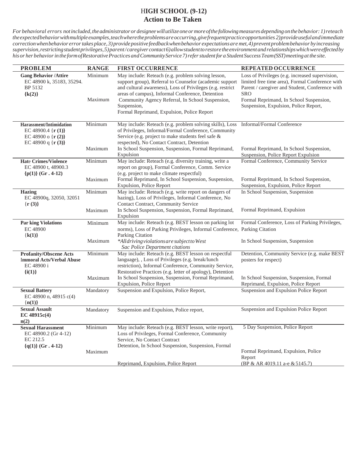### H**IGH SCHOOL (9-12) Action to Be Taken**

| <b>PROBLEM</b>                                                                                              | <b>RANGE</b>       | <b>FIRST OCCURRENCE</b>                                                                                                                                                                                                                                                                                                                          | REPEATED OCCURRENCE                                                                                                                                                                                                                                     |
|-------------------------------------------------------------------------------------------------------------|--------------------|--------------------------------------------------------------------------------------------------------------------------------------------------------------------------------------------------------------------------------------------------------------------------------------------------------------------------------------------------|---------------------------------------------------------------------------------------------------------------------------------------------------------------------------------------------------------------------------------------------------------|
| <b>Gang Behavior /Attire</b><br>EC 48900 k, 35183, 35294.<br>BP 5132<br>${k(2)}$                            | Minimum<br>Maximum | May include: Reteach (e.g. problem solving lesson,<br>support group), Referral to Counselor (academic support<br>and cultural awareness), Loss of Privileges (e.g. restrict<br>areas of campus), Informal Conference, Detention<br>Community Agency Referral, In School Suspension,<br>Suspension,<br>Formal Reprimand, Expulsion, Police Report | Loss of Privileges (e.g. increased supervision,<br>limited free time area), Formal Conference with<br>Parent / caregiver and Student, Conference with<br><b>SRO</b><br>Formal Reprimand, In School Suspension,<br>Suspension, Expulsion, Police Report, |
| Harassment/Intimidation<br>EC 48900.4 $\{r(1)\}$<br>EC 48900 o { $r(2)$ }<br>EC 48900 q { $\mathbf{r}$ (3)} | Minimum            | May include: Reteach (e.g. problem solving skills), Loss Informal/Formal Conference<br>of Privileges, Informal/Formal Conference, Community<br>Service (e.g. project to make students feel safe &<br>respected), No Contact Contract, Detention                                                                                                  |                                                                                                                                                                                                                                                         |
|                                                                                                             | Maximum            | In School Suspension, Suspension, Formal Reprimand,<br>Expulsion                                                                                                                                                                                                                                                                                 | Formal Reprimand, In School Suspension,<br>Suspension, Police Report Expulsion                                                                                                                                                                          |
| <b>Hate Crimes/Violence</b><br>EC 48900 t, 48900.3<br>${p(1)}$ (Gr. 4-12)                                   | Minimum            | May include: Reteach (e.g. diversity training, write a<br>report on group), Formal Conference, Comm. Service<br>(e.g. project to make climate respectful)                                                                                                                                                                                        | Formal Conference, Community Service                                                                                                                                                                                                                    |
|                                                                                                             | Maximum            | Formal Reprimand, In School Suspension, Suspension,<br>Expulsion, Police Report                                                                                                                                                                                                                                                                  | Formal Reprimand, In School Suspension,<br>Suspension, Expulsion, Police Report                                                                                                                                                                         |
| <b>Hazing</b><br>EC 48900q, 32050, 32051<br>$\{r(3)\}\$                                                     | Minimum            | May include: Reteach (e.g. write report on dangers of<br>hazing), Loss of Privileges, Informal Conference, No<br><b>Contact Contract, Community Service</b>                                                                                                                                                                                      | In School Suspension, Suspension                                                                                                                                                                                                                        |
|                                                                                                             | Maximum            | In School Suspension, Suspension, Formal Reprimand,<br>Expulsion                                                                                                                                                                                                                                                                                 | Formal Reprimand, Expulsion                                                                                                                                                                                                                             |
| <b>Par king Violations</b><br>EC 48900<br>${k(1)}$                                                          | Minimum            | May include: Reteach (e.g. BEST lesson on parking lot<br>norms), Loss of Parking Privileges, Informal Conference, Parking Citation<br><b>Parking Citation</b>                                                                                                                                                                                    | Formal Conference, Loss of Parking Privileges,                                                                                                                                                                                                          |
|                                                                                                             | Maximum            | *Alldriving violations are subject to West<br><b>Sac Police Department citations</b>                                                                                                                                                                                                                                                             | In School Suspension, Suspension                                                                                                                                                                                                                        |
| <b>Profanity/Obscene Acts</b><br><b>Immoral Acts/Verbal Abuse</b><br>EC 48900 i                             | Minimum            | May include: Reteach (e.g. BEST lesson on respectful<br>language), , Loss of Privileges (e.g. break/lunch<br>restriction), Informal Conference, Community Service,<br>Restorative Practices (e.g. letter of apology), Detention                                                                                                                  | Detention, Community Service (e.g. make BEST<br>posters for respect)                                                                                                                                                                                    |
| $\{i(1)\}\$                                                                                                 | Maximum            | In School Suspension, Suspension, Formal Reprimand,<br>Expulsion, Police Report                                                                                                                                                                                                                                                                  | In School Suspension, Suspension, Formal<br>Reprimand, Expulsion, Police Report                                                                                                                                                                         |
| <b>Sexual Battery</b><br>EC 48900 n, 48915 c(4)<br>${n(1)}$                                                 | Mandatory          | Suspension and Expulsion, Police Report,                                                                                                                                                                                                                                                                                                         | Suspension and Expulsion Police Report                                                                                                                                                                                                                  |
| <b>Sexual Assault</b><br>EC 48915c(4)<br>n(2)                                                               | Mandatory          | Suspension and Expulsion, Police report,                                                                                                                                                                                                                                                                                                         | Suspension and Expulsion Police Report                                                                                                                                                                                                                  |
| <b>Sexual Harassment</b><br>EC 48900.2 (Gr 4-12)<br>EC 212.5<br>${q(1)}$ (Gr. 4-12)                         | Minimum            | May include: Reteach (e.g. BEST lesson, write report),<br>Loss of Privileges, Formal Conference, Community<br>Service, No Contact Contract<br>Detention, In School Suspension, Suspension, Formal                                                                                                                                                | 5 Day Suspension, Police Report                                                                                                                                                                                                                         |
|                                                                                                             | Maximum            | Reprimand, Expulsion, Police Report                                                                                                                                                                                                                                                                                                              | Formal Reprimand, Expulsion, Police<br>Report<br>(BP & AR 4019.11 a-e & 5145.7)                                                                                                                                                                         |
|                                                                                                             |                    |                                                                                                                                                                                                                                                                                                                                                  |                                                                                                                                                                                                                                                         |